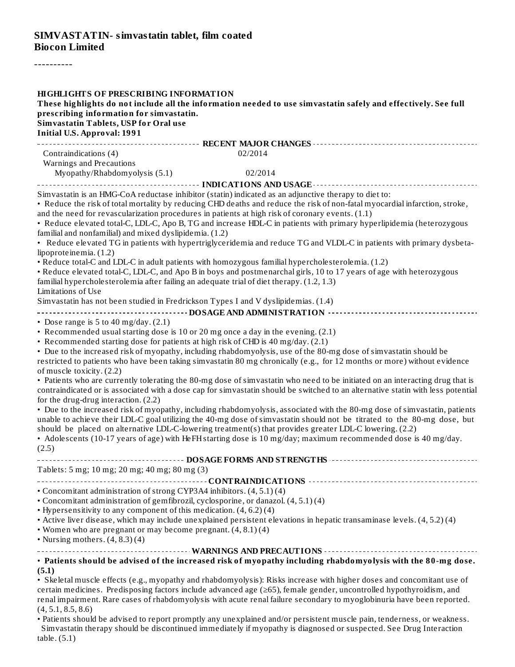----------

| <b>HIGHLIGHTS OF PRESCRIBING INFORMATION</b>                                                                                                                          |                                                                                                                                                                                                                                      |
|-----------------------------------------------------------------------------------------------------------------------------------------------------------------------|--------------------------------------------------------------------------------------------------------------------------------------------------------------------------------------------------------------------------------------|
|                                                                                                                                                                       | These highlights do not include all the information needed to use simvastatin safely and effectively. See full                                                                                                                       |
| prescribing information for simvastatin.<br>Simvastatin Tablets, USP for Oral use                                                                                     |                                                                                                                                                                                                                                      |
| <b>Initial U.S. Approval: 1991</b>                                                                                                                                    |                                                                                                                                                                                                                                      |
|                                                                                                                                                                       |                                                                                                                                                                                                                                      |
| Contraindications (4)                                                                                                                                                 | 02/2014                                                                                                                                                                                                                              |
| Warnings and Precautions                                                                                                                                              |                                                                                                                                                                                                                                      |
| Myopathy/Rhabdomyolysis (5.1)                                                                                                                                         | 02/2014                                                                                                                                                                                                                              |
|                                                                                                                                                                       |                                                                                                                                                                                                                                      |
|                                                                                                                                                                       | Simvastatin is an HMG-CoA reductase inhibitor (statin) indicated as an adjunctive therapy to diet to:<br>• Reduce the risk of total mortality by reducing CHD deaths and reduce the risk of non-fatal myocardial infarction, stroke, |
|                                                                                                                                                                       | and the need for revascularization procedures in patients at high risk of coronary events. (1.1)                                                                                                                                     |
|                                                                                                                                                                       | • Reduce elevated total-C, LDL-C, Apo B, TG and increase HDL-C in patients with primary hyperlipidemia (heterozygous                                                                                                                 |
| familial and nonfamilial) and mixed dyslipidemia. (1.2)                                                                                                               |                                                                                                                                                                                                                                      |
|                                                                                                                                                                       | • Reduce elevated TG in patients with hypertriglyceridemia and reduce TG and VLDL-C in patients with primary dysbeta-                                                                                                                |
| lipoproteinemia. (1.2)                                                                                                                                                | . Reduce total-C and LDL-C in adult patients with homozygous familial hypercholesterolemia. (1.2)                                                                                                                                    |
|                                                                                                                                                                       | • Reduce elevated total-C, LDL-C, and Apo B in boys and postmenarchal girls, 10 to 17 years of age with heterozygous                                                                                                                 |
| familial hypercholesterolemia after failing an adequate trial of diet therapy. (1.2, 1.3)                                                                             |                                                                                                                                                                                                                                      |
| Limitations of Use                                                                                                                                                    |                                                                                                                                                                                                                                      |
| Simvastatin has not been studied in Fredrickson Types I and V dyslipidemias. (1.4)                                                                                    |                                                                                                                                                                                                                                      |
|                                                                                                                                                                       |                                                                                                                                                                                                                                      |
| • Dose range is $5$ to $40$ mg/day. $(2.1)$                                                                                                                           |                                                                                                                                                                                                                                      |
| • Recommended usual starting dose is 10 or 20 mg once a day in the evening. (2.1)<br>• Recommended starting dose for patients at high risk of CHD is 40 mg/day. (2.1) |                                                                                                                                                                                                                                      |
|                                                                                                                                                                       | • Due to the increased risk of myopathy, including rhabdomyolysis, use of the 80-mg dose of simvastatin should be                                                                                                                    |
|                                                                                                                                                                       | restricted to patients who have been taking simvastatin 80 mg chronically (e.g., for 12 months or more) without evidence                                                                                                             |
| of muscle toxicity. (2.2)                                                                                                                                             |                                                                                                                                                                                                                                      |
|                                                                                                                                                                       | • Patients who are currently tolerating the 80-mg dose of simvastatin who need to be initiated on an interacting drug that is                                                                                                        |
|                                                                                                                                                                       | contraindicated or is associated with a dose cap for simvastatin should be switched to an alternative statin with less potential                                                                                                     |
| for the drug-drug interaction. (2.2)                                                                                                                                  | • Due to the increased risk of myopathy, including rhabdomyolysis, associated with the 80-mg dose of simvastatin, patients                                                                                                           |
|                                                                                                                                                                       | unable to achieve their LDL-C goal utilizing the 40-mg dose of simvastatin should not be titrated to the 80-mg dose, but                                                                                                             |
|                                                                                                                                                                       | should be placed on alternative LDL-C-lowering treatment(s) that provides greater LDL-C lowering. (2.2)                                                                                                                              |
|                                                                                                                                                                       | • Adolescents (10-17 years of age) with HeFH starting dose is 10 mg/day; maximum recommended dose is 40 mg/day.                                                                                                                      |
| (2.5)                                                                                                                                                                 |                                                                                                                                                                                                                                      |
|                                                                                                                                                                       | ------------------- DOSAGE FORMS AND STRENGTHS ------------------                                                                                                                                                                    |
| Tablets: 5 mg; 10 mg; 20 mg; 40 mg; 80 mg (3)                                                                                                                         |                                                                                                                                                                                                                                      |
| • Concomitant administration of strong CYP3A4 inhibitors. (4, 5.1) (4)                                                                                                |                                                                                                                                                                                                                                      |
| • Concomitant administration of gemfibrozil, cyclosporine, or danazol. (4, 5.1) (4)                                                                                   |                                                                                                                                                                                                                                      |
| • Hypersensitivity to any component of this medication. (4, 6.2) (4)                                                                                                  |                                                                                                                                                                                                                                      |
|                                                                                                                                                                       | • Active liver disease, which may include unexplained persistent elevations in hepatic transaminase levels. (4, 5.2) (4)                                                                                                             |
| • Women who are pregnant or may become pregnant. (4, 8.1) (4)                                                                                                         |                                                                                                                                                                                                                                      |
| • Nursing mothers. $(4, 8.3)$ $(4)$                                                                                                                                   |                                                                                                                                                                                                                                      |
|                                                                                                                                                                       | . Patients should be advised of the increased risk of myopathy including rhabdomyolysis with the 80-mg dose.                                                                                                                         |
| (5.1)                                                                                                                                                                 |                                                                                                                                                                                                                                      |
|                                                                                                                                                                       | • Skeletal muscle effects (e.g., myopathy and rhabdomyolysis): Risks increase with higher doses and concomitant use of                                                                                                               |
|                                                                                                                                                                       | certain medicines. Predisposing factors include advanced age (≥65), female gender, uncontrolled hypothyroidism, and                                                                                                                  |
|                                                                                                                                                                       | renal impairment. Rare cases of rhabdomyolysis with acute renal failure secondary to myoglobinuria have been reported.                                                                                                               |
| (4, 5.1, 8.5, 8.6)                                                                                                                                                    | • Patients should be advised to report promptly any unexplained and/or persistent muscle pain tenderness, or weakness                                                                                                                |

• Patients should be advised to report promptly any unexplained and/or persistent muscle pain, tenderness, or weakness. Simvastatin therapy should be discontinued immediately if myopathy is diagnosed or suspected. See Drug Interaction table. (5.1)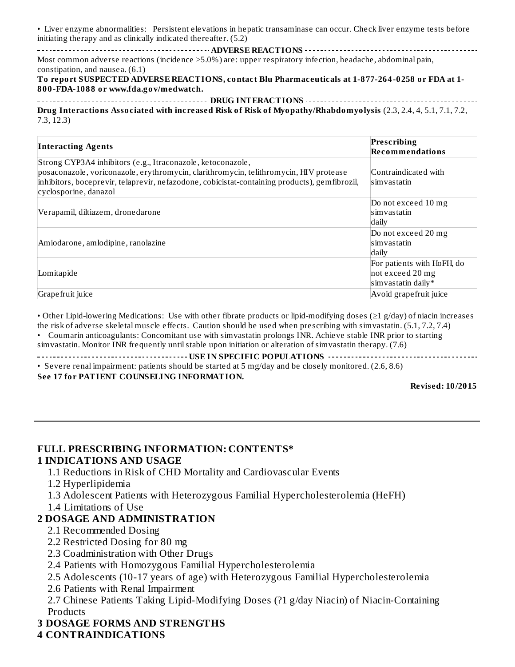• Liver enzyme abnormalities: Persistent elevations in hepatic transaminase can occur. Check liver enzyme tests before initiating therapy and as clinically indicated thereafter. (5.2)

**ADVERSE REACTIONS** Most common adverse reactions (incidence ≥5.0%) are: upper respiratory infection, headache, abdominal pain, constipation, and nausea. (6.1)

**To report SUSPECTED ADVERSE REACTIONS, contact Blu Pharmaceuticals at 1-877-264-0258 or FDA at 1- 800-FDA-1088 or www.fda.gov/medwatch.**

**DRUG INTERACTIONS Drug Interactions Associated with increased Risk of Risk of Myopathy/Rhabdomyolysis** (2.3, 2.4, 4, 5.1, 7.1, 7.2, 7.3, 12.3)

| <b>Interacting Agents</b>                                                                                                                                                                                                                                                      | Prescribing<br><b>Recommendations</b>                                |
|--------------------------------------------------------------------------------------------------------------------------------------------------------------------------------------------------------------------------------------------------------------------------------|----------------------------------------------------------------------|
| Strong CYP3A4 inhibitors (e.g., Itraconazole, ketoconazole,<br>posaconazole, voriconazole, erythromycin, clarithromycin, telithromycin, HIV protease<br>inhibitors, boceprevir, telaprevir, nefazodone, cobicistat-containing products), gemfibrozil,<br>cyclosporine, danazol | Contraindicated with<br>simvastatin                                  |
| Verapamil, diltiazem, dronedarone                                                                                                                                                                                                                                              | Do not exceed 10 mg<br>simvastatin<br>daily                          |
| Amiodarone, amlodipine, ranolazine                                                                                                                                                                                                                                             | Do not exceed 20 mg<br>simvastatin<br>daily                          |
| Lomitapide                                                                                                                                                                                                                                                                     | For patients with HoFH, do<br>not exceed 20 mg<br>simvastatin daily* |
| Grape fruit juice                                                                                                                                                                                                                                                              | Avoid grape fruit juice                                              |

• Other Lipid-lowering Medications: Use with other fibrate products or lipid-modifying doses (≥1 g/day) of niacin increases the risk of adverse skeletal muscle effects. Caution should be used when prescribing with simvastatin. (5.1, 7.2, 7.4)

• Coumarin anticoagulants: Concomitant use with simvastatin prolongs INR. Achieve stable INR prior to starting simvastatin. Monitor INR frequently until stable upon initiation or alteration of simvastatin therapy. (7.6)

**USE IN SPECIFIC POPULATIONS**

• Severe renal impairment: patients should be started at 5 mg/day and be closely monitored. (2.6, 8.6)

**See 17 for PATIENT COUNSELING INFORMATION.**

**Revised: 10/2015**

### **FULL PRESCRIBING INFORMATION: CONTENTS\***

#### **1 INDICATIONS AND USAGE**

1.1 Reductions in Risk of CHD Mortality and Cardiovascular Events

- 1.2 Hyperlipidemia
- 1.3 Adolescent Patients with Heterozygous Familial Hypercholesterolemia (HeFH)
- 1.4 Limitations of Use

#### **2 DOSAGE AND ADMINISTRATION**

- 2.1 Recommended Dosing
- 2.2 Restricted Dosing for 80 mg
- 2.3 Coadministration with Other Drugs
- 2.4 Patients with Homozygous Familial Hypercholesterolemia

2.5 Adolescents (10-17 years of age) with Heterozygous Familial Hypercholesterolemia

2.6 Patients with Renal Impairment

2.7 Chinese Patients Taking Lipid-Modifying Doses (?1 g/day Niacin) of Niacin-Containing **Products** 

### **3 DOSAGE FORMS AND STRENGTHS**

#### **4 CONTRAINDICATIONS**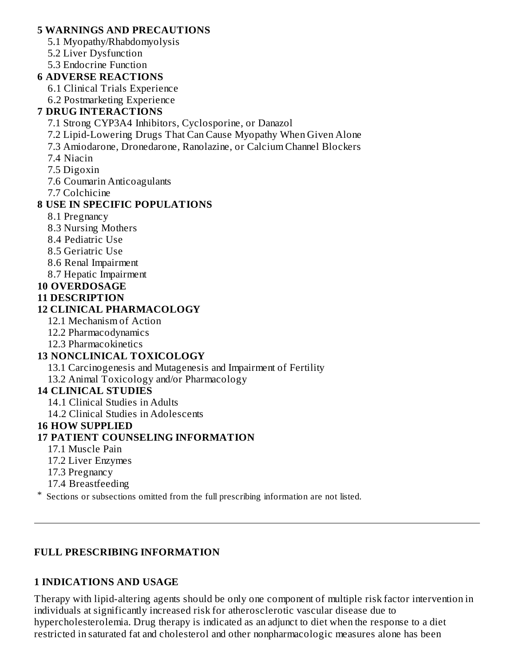#### **5 WARNINGS AND PRECAUTIONS**

- 5.1 Myopathy/Rhabdomyolysis
- 5.2 Liver Dysfunction
- 5.3 Endocrine Function

### **6 ADVERSE REACTIONS**

- 6.1 Clinical Trials Experience
- 6.2 Postmarketing Experience

### **7 DRUG INTERACTIONS**

- 7.1 Strong CYP3A4 Inhibitors, Cyclosporine, or Danazol
- 7.2 Lipid-Lowering Drugs That Can Cause Myopathy When Given Alone
- 7.3 Amiodarone, Dronedarone, Ranolazine, or Calcium Channel Blockers
- 7.4 Niacin
- 7.5 Digoxin
- 7.6 Coumarin Anticoagulants
- 7.7 Colchicine

### **8 USE IN SPECIFIC POPULATIONS**

- 8.1 Pregnancy
- 8.3 Nursing Mothers
- 8.4 Pediatric Use
- 8.5 Geriatric Use
- 8.6 Renal Impairment
- 8.7 Hepatic Impairment
- **10 OVERDOSAGE**

### **11 DESCRIPTION**

### **12 CLINICAL PHARMACOLOGY**

- 12.1 Mechanism of Action
- 12.2 Pharmacodynamics
- 12.3 Pharmacokinetics

### **13 NONCLINICAL TOXICOLOGY**

13.1 Carcinogenesis and Mutagenesis and Impairment of Fertility

13.2 Animal Toxicology and/or Pharmacology

### **14 CLINICAL STUDIES**

- 14.1 Clinical Studies in Adults
- 14.2 Clinical Studies in Adolescents

### **16 HOW SUPPLIED**

### **17 PATIENT COUNSELING INFORMATION**

- 17.1 Muscle Pain
- 17.2 Liver Enzymes
- 17.3 Pregnancy
- 17.4 Breastfeeding

\* Sections or subsections omitted from the full prescribing information are not listed.

### **FULL PRESCRIBING INFORMATION**

### **1 INDICATIONS AND USAGE**

Therapy with lipid-altering agents should be only one component of multiple risk factor intervention in individuals at significantly increased risk for atherosclerotic vascular disease due to hypercholesterolemia. Drug therapy is indicated as an adjunct to diet when the response to a diet restricted in saturated fat and cholesterol and other nonpharmacologic measures alone has been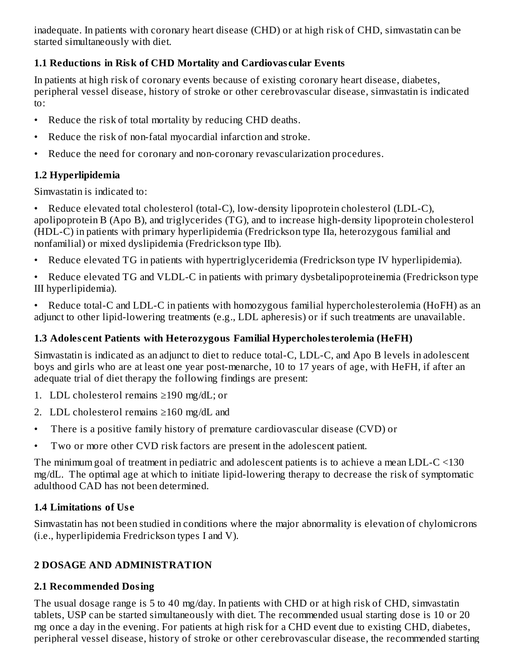inadequate. In patients with coronary heart disease (CHD) or at high risk of CHD, simvastatin can be started simultaneously with diet.

### **1.1 Reductions in Risk of CHD Mortality and Cardiovas cular Events**

In patients at high risk of coronary events because of existing coronary heart disease, diabetes, peripheral vessel disease, history of stroke or other cerebrovascular disease, simvastatin is indicated to:

- Reduce the risk of total mortality by reducing CHD deaths.
- Reduce the risk of non-fatal myocardial infarction and stroke.
- Reduce the need for coronary and non-coronary revascularization procedures.

### **1.2 Hyperlipidemia**

Simvastatin is indicated to:

• Reduce elevated total cholesterol (total-C), low-density lipoprotein cholesterol (LDL-C), apolipoprotein B (Apo B), and triglycerides (TG), and to increase high-density lipoprotein cholesterol (HDL-C) in patients with primary hyperlipidemia (Fredrickson type IIa, heterozygous familial and nonfamilial) or mixed dyslipidemia (Fredrickson type IIb).

• Reduce elevated TG in patients with hypertriglyceridemia (Fredrickson type IV hyperlipidemia).

• Reduce elevated TG and VLDL-C in patients with primary dysbetalipoproteinemia (Fredrickson type III hyperlipidemia).

• Reduce total-C and LDL-C in patients with homozygous familial hypercholesterolemia (HoFH) as an adjunct to other lipid-lowering treatments (e.g., LDL apheresis) or if such treatments are unavailable.

### **1.3 Adoles cent Patients with Heterozygous Familial Hypercholesterolemia (HeFH)**

Simvastatin is indicated as an adjunct to diet to reduce total-C, LDL-C, and Apo B levels in adolescent boys and girls who are at least one year post-menarche, 10 to 17 years of age, with HeFH, if after an adequate trial of diet therapy the following findings are present:

- 1. LDL cholesterol remains ≥190 mg/dL; or
- 2. LDL cholesterol remains ≥160 mg/dL and
- There is a positive family history of premature cardiovascular disease (CVD) or
- Two or more other CVD risk factors are present in the adolescent patient.

The minimum goal of treatment in pediatric and adolescent patients is to achieve a mean LDL-C <130 mg/dL. The optimal age at which to initiate lipid-lowering therapy to decrease the risk of symptomatic adulthood CAD has not been determined.

### **1.4 Limitations of Us e**

Simvastatin has not been studied in conditions where the major abnormality is elevation of chylomicrons (i.e., hyperlipidemia Fredrickson types I and V).

### **2 DOSAGE AND ADMINISTRATION**

### **2.1 Recommended Dosing**

The usual dosage range is 5 to 40 mg/day. In patients with CHD or at high risk of CHD, simvastatin tablets, USP can be started simultaneously with diet. The recommended usual starting dose is 10 or 20 mg once a day in the evening. For patients at high risk for a CHD event due to existing CHD, diabetes, peripheral vessel disease, history of stroke or other cerebrovascular disease, the recommended starting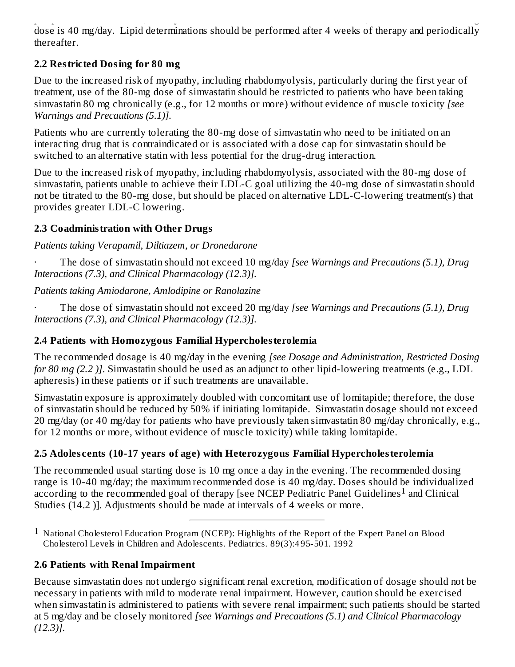peripheral vessel disease, history of stroke or other cerebrovascular disease, the recommended starting dose is 40 mg/day. Lipid determinations should be performed after 4 weeks of therapy and periodically thereafter.

### **2.2 Restricted Dosing for 80 mg**

Due to the increased risk of myopathy, including rhabdomyolysis, particularly during the first year of treatment, use of the 80-mg dose of simvastatin should be restricted to patients who have been taking simvastatin 80 mg chronically (e.g., for 12 months or more) without evidence of muscle toxicity *[see Warnings and Precautions (5.1)].*

Patients who are currently tolerating the 80-mg dose of simvastatin who need to be initiated on an interacting drug that is contraindicated or is associated with a dose cap for simvastatin should be switched to an alternative statin with less potential for the drug-drug interaction.

Due to the increased risk of myopathy, including rhabdomyolysis, associated with the 80-mg dose of simvastatin, patients unable to achieve their LDL-C goal utilizing the 40-mg dose of simvastatin should not be titrated to the 80-mg dose, but should be placed on alternative LDL-C-lowering treatment(s) that provides greater LDL-C lowering.

### **2.3 Coadministration with Other Drugs**

### *Patients taking Verapamil, Diltiazem, or Dronedarone*

· The dose of simvastatin should not exceed 10 mg/day *[see Warnings and Precautions (5.1), Drug Interactions (7.3), and Clinical Pharmacology (12.3)].*

### *Patients taking Amiodarone, Amlodipine or Ranolazine*

· The dose of simvastatin should not exceed 20 mg/day *[see Warnings and Precautions (5.1), Drug Interactions (7.3), and Clinical Pharmacology (12.3)].*

### **2.4 Patients with Homozygous Familial Hypercholesterolemia**

The recommended dosage is 40 mg/day in the evening *[see Dosage and Administration, Restricted Dosing for 80 mg (2.2 )]*. Simvastatin should be used as an adjunct to other lipid-lowering treatments (e.g., LDL apheresis) in these patients or if such treatments are unavailable.

Simvastatin exposure is approximately doubled with concomitant use of lomitapide; therefore, the dose of simvastatin should be reduced by 50% if initiating lomitapide. Simvastatin dosage should not exceed 20 mg/day (or 40 mg/day for patients who have previously taken simvastatin 80 mg/day chronically, e.g., for 12 months or more, without evidence of muscle toxicity) while taking lomitapide.

### **2.5 Adoles cents (10-17 years of age) with Heterozygous Familial Hypercholesterolemia**

The recommended usual starting dose is 10 mg once a day in the evening. The recommended dosing range is 10-40 mg/day; the maximum recommended dose is 40 mg/day. Doses should be individualized according to the recommended goal of therapy [see NCEP Pediatric Panel Guidelines<sup>1</sup> and Clinical Studies (14.2 )]. Adjustments should be made at intervals of 4 weeks or more.

### **2.6 Patients with Renal Impairment**

Because simvastatin does not undergo significant renal excretion, modification of dosage should not be necessary in patients with mild to moderate renal impairment. However, caution should be exercised when simvastatin is administered to patients with severe renal impairment; such patients should be started at 5 mg/day and be closely monitored *[see Warnings and Precautions (5.1) and Clinical Pharmacology (12.3)].*

<sup>1</sup> National Cholesterol Education Program (NCEP): Highlights of the Report of the Expert Panel on Blood Cholesterol Levels in Children and Adolescents. Pediatrics. 89(3):4 95-501. 1992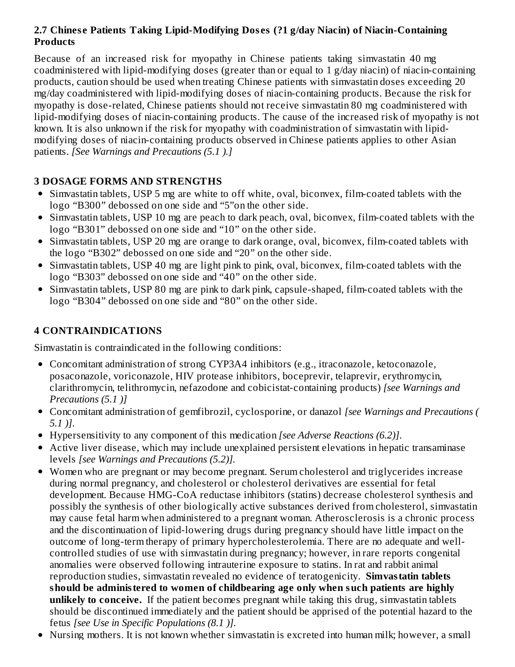### **2.7 Chines e Patients Taking Lipid-Modifying Dos es (?1 g/day Niacin) of Niacin-Containing Products**

Because of an increased risk for myopathy in Chinese patients taking simvastatin 40 mg coadministered with lipid-modifying doses (greater than or equal to 1 g/day niacin) of niacin-containing products, caution should be used when treating Chinese patients with simvastatin doses exceeding 20 mg/day coadministered with lipid-modifying doses of niacin-containing products. Because the risk for myopathy is dose-related, Chinese patients should not receive simvastatin 80 mg coadministered with lipid-modifying doses of niacin-containing products. The cause of the increased risk of myopathy is not known. It is also unknown if the risk for myopathy with coadministration of simvastatin with lipidmodifying doses of niacin-containing products observed in Chinese patients applies to other Asian patients. *[See Warnings and Precautions (5.1 ).]*

### **3 DOSAGE FORMS AND STRENGTHS**

- Simvastatin tablets, USP 5 mg are white to off white, oval, biconvex, film-coated tablets with the logo "B300" debossed on one side and "5"on the other side.
- Simvastatin tablets, USP 10 mg are peach to dark peach, oval, biconvex, film-coated tablets with the logo "B301" debossed on one side and "10" on the other side.
- Simvastatin tablets, USP 20 mg are orange to dark orange, oval, biconvex, film-coated tablets with the logo "B302" debossed on one side and "20" on the other side.
- Simvastatin tablets, USP 40 mg are light pink to pink, oval, biconvex, film-coated tablets with the logo "B303" debossed on one side and "40" on the other side.
- Simvastatin tablets, USP 80 mg are pink to dark pink, capsule-shaped, film-coated tablets with the logo "B304" debossed on one side and "80" on the other side.

### **4 CONTRAINDICATIONS**

Simvastatin is contraindicated in the following conditions:

- Concomitant administration of strong CYP3A4 inhibitors (e.g., itraconazole, ketoconazole, posaconazole, voriconazole, HIV protease inhibitors, boceprevir, telaprevir, erythromycin, clarithromycin, telithromycin, nefazodone and cobicistat-containing products) *[see Warnings and Precautions (5.1 )]*
- Concomitant administration of gemfibrozil, cyclosporine, or danazol *[see Warnings and Precautions ( 5.1 )]*.
- Hypersensitivity to any component of this medication *[see Adverse Reactions (6.2)]*.
- Active liver disease, which may include unexplained persistent elevations in hepatic transaminase levels *[see Warnings and Precautions (5.2)].*
- Women who are pregnant or may become pregnant. Serum cholesterol and triglycerides increase during normal pregnancy, and cholesterol or cholesterol derivatives are essential for fetal development. Because HMG-CoA reductase inhibitors (statins) decrease cholesterol synthesis and possibly the synthesis of other biologically active substances derived from cholesterol, simvastatin may cause fetal harm when administered to a pregnant woman. Atherosclerosis is a chronic process and the discontinuation of lipid-lowering drugs during pregnancy should have little impact on the outcome of long-term therapy of primary hypercholesterolemia. There are no adequate and wellcontrolled studies of use with simvastatin during pregnancy; however, in rare reports congenital anomalies were observed following intrauterine exposure to statins. In rat and rabbit animal reproduction studies, simvastatin revealed no evidence of teratogenicity. **Simvastatin tablets should be administered to women of childbearing age only when such patients are highly unlikely to conceive.** If the patient becomes pregnant while taking this drug, simvastatin tablets should be discontinued immediately and the patient should be apprised of the potential hazard to the fetus *[see Use in Specific Populations (8.1 )].*
- Nursing mothers. It is not known whether simvastatin is excreted into human milk; however, a small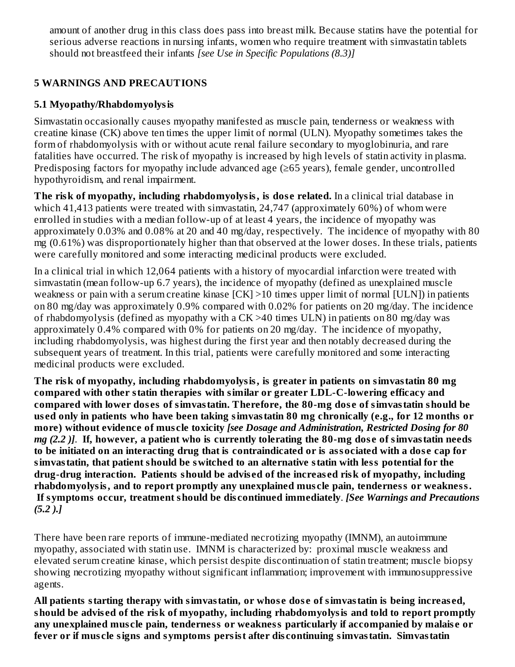amount of another drug in this class does pass into breast milk. Because statins have the potential for serious adverse reactions in nursing infants, women who require treatment with simvastatin tablets should not breastfeed their infants *[see Use in Specific Populations (8.3)]*

### **5 WARNINGS AND PRECAUTIONS**

### **5.1 Myopathy/Rhabdomyolysis**

Simvastatin occasionally causes myopathy manifested as muscle pain, tenderness or weakness with creatine kinase (CK) above ten times the upper limit of normal (ULN). Myopathy sometimes takes the form of rhabdomyolysis with or without acute renal failure secondary to myoglobinuria, and rare fatalities have occurred. The risk of myopathy is increased by high levels of statin activity in plasma. Predisposing factors for myopathy include advanced age (≥65 years), female gender, uncontrolled hypothyroidism, and renal impairment.

**The risk of myopathy, including rhabdomyolysis, is dos e related.** In a clinical trial database in which 41,413 patients were treated with simvastatin, 24,747 (approximately 60%) of whom were enrolled in studies with a median follow-up of at least 4 years, the incidence of myopathy was approximately 0.03% and 0.08% at 20 and 40 mg/day, respectively. The incidence of myopathy with 80 mg (0.61%) was disproportionately higher than that observed at the lower doses. In these trials, patients were carefully monitored and some interacting medicinal products were excluded.

In a clinical trial in which 12,064 patients with a history of myocardial infarction were treated with simvastatin (mean follow-up 6.7 years), the incidence of myopathy (defined as unexplained muscle weakness or pain with a serum creatine kinase [CK] >10 times upper limit of normal [ULN]) in patients on 80 mg/day was approximately 0.9% compared with 0.02% for patients on 20 mg/day. The incidence of rhabdomyolysis (defined as myopathy with a CK >40 times ULN) in patients on 80 mg/day was approximately 0.4% compared with 0% for patients on 20 mg/day. The incidence of myopathy, including rhabdomyolysis, was highest during the first year and then notably decreased during the subsequent years of treatment. In this trial, patients were carefully monitored and some interacting medicinal products were excluded.

**The risk of myopathy, including rhabdomyolysis, is greater in patients on simvastatin 80 mg compared with other statin therapies with similar or greater LDL-C-lowering efficacy and compared with lower dos es of simvastatin. Therefore, the 80-mg dos e of simvastatin should be us ed only in patients who have been taking simvastatin 80 mg chronically (e.g., for 12 months or more) without evidence of mus cle toxicity** *[see Dosage and Administration, Restricted Dosing for 80* mg (2.2). If, however, a patient who is currently tolerating the 80-mg dose of simvastatin needs to be initiated on an interacting drug that is contraindicated or is associated with a dose cap for **simvastatin, that patient should be switched to an alternative statin with less potential for the drug-drug interaction. Patients should be advis ed of the increas ed risk of myopathy, including rhabdomyolysis, and to report promptly any unexplained mus cle pain, tenderness or weakness. If symptoms occur, treatment should be dis continued immediately**. *[See Warnings and Precautions (5.2 ).]*

There have been rare reports of immune-mediated necrotizing myopathy (IMNM), an autoimmune myopathy, associated with statin use. IMNM is characterized by: proximal muscle weakness and elevated serum creatine kinase, which persist despite discontinuation of statin treatment; muscle biopsy showing necrotizing myopathy without significant inflammation; improvement with immunosuppressive agents.

**All patients starting therapy with simvastatin, or whos e dos e of simvastatin is being increas ed, should be advis ed of the risk of myopathy, including rhabdomyolysis and told to report promptly any unexplained mus cle pain, tenderness or weakness particularly if accompanied by malais e or fever or if mus cle signs and symptoms persist after dis continuing simvastatin. Simvastatin**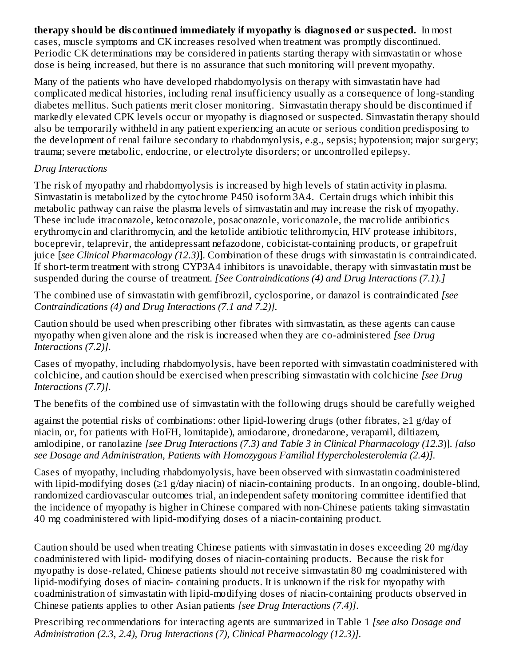**therapy should be dis continued immediately if myopathy is diagnos ed or suspected.** In most cases, muscle symptoms and CK increases resolved when treatment was promptly discontinued. Periodic CK determinations may be considered in patients starting therapy with simvastatin or whose dose is being increased, but there is no assurance that such monitoring will prevent myopathy.

Many of the patients who have developed rhabdomyolysis on therapy with simvastatin have had complicated medical histories, including renal insufficiency usually as a consequence of long-standing diabetes mellitus. Such patients merit closer monitoring. Simvastatin therapy should be discontinued if markedly elevated CPK levels occur or myopathy is diagnosed or suspected. Simvastatin therapy should also be temporarily withheld in any patient experiencing an acute or serious condition predisposing to the development of renal failure secondary to rhabdomyolysis, e.g., sepsis; hypotension; major surgery; trauma; severe metabolic, endocrine, or electrolyte disorders; or uncontrolled epilepsy.

### *Drug Interactions*

The risk of myopathy and rhabdomyolysis is increased by high levels of statin activity in plasma. Simvastatin is metabolized by the cytochrome P450 isoform 3A4. Certain drugs which inhibit this metabolic pathway can raise the plasma levels of simvastatin and may increase the risk of myopathy. These include itraconazole, ketoconazole, posaconazole, voriconazole, the macrolide antibiotics erythromycin and clarithromycin, and the ketolide antibiotic telithromycin, HIV protease inhibitors, boceprevir, telaprevir, the antidepressant nefazodone, cobicistat-containing products, or grapefruit juice [*see Clinical Pharmacology (12.3)*]. Combination of these drugs with simvastatin is contraindicated. If short-term treatment with strong CYP3A4 inhibitors is unavoidable, therapy with simvastatin must be suspended during the course of treatment. *[See Contraindications (4) and Drug Interactions (7.1).]*

The combined use of simvastatin with gemfibrozil, cyclosporine, or danazol is contraindicated *[see Contraindications (4) and Drug Interactions (7.1 and 7.2)].*

Caution should be used when prescribing other fibrates with simvastatin, as these agents can cause myopathy when given alone and the risk is increased when they are co-administered *[see Drug Interactions (7.2)]*.

Cases of myopathy, including rhabdomyolysis, have been reported with simvastatin coadministered with colchicine, and caution should be exercised when prescribing simvastatin with colchicine *[see Drug Interactions (7.7)]*.

The benefits of the combined use of simvastatin with the following drugs should be carefully weighed

against the potential risks of combinations: other lipid-lowering drugs (other fibrates,  $\geq 1$  g/day of niacin, or, for patients with HoFH, lomitapide), amiodarone, dronedarone, verapamil, diltiazem, amlodipine, or ranolazine *[see Drug Interactions (7.3) and Table 3 in Clinical Pharmacology (12.3*)]. *[also see Dosage and Administration, Patients with Homozygous Familial Hypercholesterolemia (2.4)].*

Cases of myopathy, including rhabdomyolysis, have been observed with simvastatin coadministered with lipid-modifying doses (≥1 g/day niacin) of niacin-containing products. In an ongoing, double-blind, randomized cardiovascular outcomes trial, an independent safety monitoring committee identified that the incidence of myopathy is higher in Chinese compared with non-Chinese patients taking simvastatin 40 mg coadministered with lipid-modifying doses of a niacin-containing product.

Caution should be used when treating Chinese patients with simvastatin in doses exceeding 20 mg/day coadministered with lipid- modifying doses of niacin-containing products. Because the risk for myopathy is dose-related, Chinese patients should not receive simvastatin 80 mg coadministered with lipid-modifying doses of niacin- containing products. It is unknown if the risk for myopathy with coadministration of simvastatin with lipid-modifying doses of niacin-containing products observed in Chinese patients applies to other Asian patients *[see Drug Interactions (7.4)]*.

Prescribing recommendations for interacting agents are summarized in Table 1 *[see also Dosage and Administration (2.3, 2.4), Drug Interactions (7), Clinical Pharmacology (12.3)].*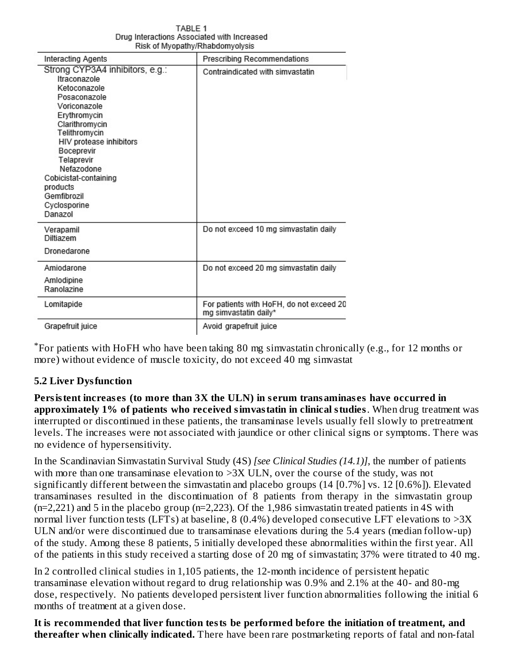|                                                                                                                                                                                                                                                                                                        | RISK OF MYODAINY/Rhabdomyolysis                                   |
|--------------------------------------------------------------------------------------------------------------------------------------------------------------------------------------------------------------------------------------------------------------------------------------------------------|-------------------------------------------------------------------|
| Interacting Agents                                                                                                                                                                                                                                                                                     | Prescribing Recommendations                                       |
| Strong CYP3A4 inhibitors, e.g.:<br>Itraconazole<br>Ketoconazole<br>Posaconazole<br>Voriconazole<br>Erythromycin<br>Clarithromycin<br>Telithromycin<br>HIV protease inhibitors<br>Boceprevir<br>Telaprevir<br>Nefazodone<br>Cobicistat-containing<br>products<br>Gemfibrozil<br>Cyclosporine<br>Danazol | Contraindicated with simvastatin                                  |
| Verapamil<br>Diltiazem<br>Dronedarone                                                                                                                                                                                                                                                                  | Do not exceed 10 mg simvastatin daily                             |
| Amiodarone<br>Amlodipine<br>Ranolazine                                                                                                                                                                                                                                                                 | Do not exceed 20 mg simvastatin daily                             |
| Lomitapide                                                                                                                                                                                                                                                                                             | For patients with HoFH, do not exceed 20<br>mg simvastatin daily* |
| Grapefruit juice                                                                                                                                                                                                                                                                                       | Avoid grapefruit juice                                            |

TABLE 1 Drug Interactions Associated with Increased

For patients with HoFH who have been taking 80 mg simvastatin chronically (e.g., for 12 months or \*more) without evidence of muscle toxicity, do not exceed 40 mg simvastat

### **5.2 Liver Dysfunction**

**Persistent increas es (to more than 3X the ULN) in s erum transaminas es have occurred in approximately 1% of patients who received simvastatin in clinical studies**. When drug treatment was interrupted or discontinued in these patients, the transaminase levels usually fell slowly to pretreatment levels. The increases were not associated with jaundice or other clinical signs or symptoms. There was no evidence of hypersensitivity.

In the Scandinavian Simvastatin Survival Study (4S) *[see Clinical Studies (14.1)]*, the number of patients with more than one transaminase elevation to >3X ULN, over the course of the study, was not significantly different between the simvastatin and placebo groups (14 [0.7%] vs. 12 [0.6%]). Elevated transaminases resulted in the discontinuation of 8 patients from therapy in the simvastatin group (n=2,221) and 5 in the placebo group (n=2,223). Of the 1,986 simvastatin treated patients in 4S with normal liver function tests (LFTs) at baseline, 8 (0.4%) developed consecutive LFT elevations to  $>3X$ ULN and/or were discontinued due to transaminase elevations during the 5.4 years (median follow-up) of the study. Among these 8 patients, 5 initially developed these abnormalities within the first year. All of the patients in this study received a starting dose of 20 mg of simvastatin; 37% were titrated to 40 mg.

In 2 controlled clinical studies in 1,105 patients, the 12-month incidence of persistent hepatic transaminase elevation without regard to drug relationship was 0.9% and 2.1% at the 40- and 80-mg dose, respectively. No patients developed persistent liver function abnormalities following the initial 6 months of treatment at a given dose.

**It is recommended that liver function tests be performed before the initiation of treatment, and thereafter when clinically indicated.** There have been rare postmarketing reports of fatal and non-fatal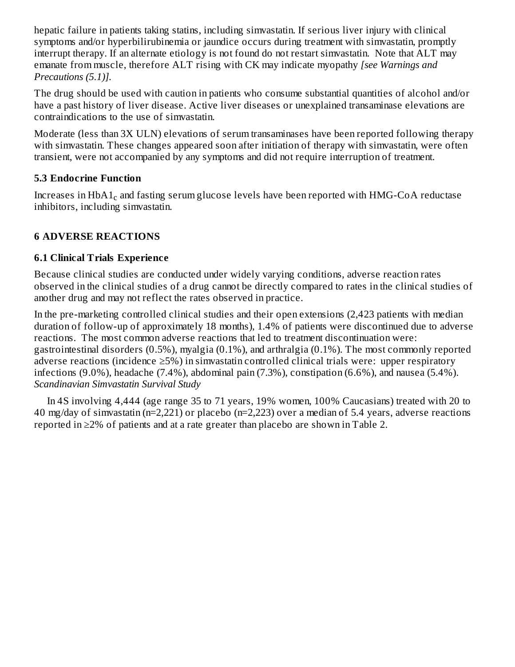hepatic failure in patients taking statins, including simvastatin. If serious liver injury with clinical symptoms and/or hyperbilirubinemia or jaundice occurs during treatment with simvastatin, promptly interrupt therapy. If an alternate etiology is not found do not restart simvastatin. Note that ALT may emanate from muscle, therefore ALT rising with CK may indicate myopathy *[see Warnings and Precautions (5.1)].*

The drug should be used with caution in patients who consume substantial quantities of alcohol and/or have a past history of liver disease. Active liver diseases or unexplained transaminase elevations are contraindications to the use of simvastatin.

Moderate (less than 3X ULN) elevations of serum transaminases have been reported following therapy with simvastatin. These changes appeared soon after initiation of therapy with simvastatin, were often transient, were not accompanied by any symptoms and did not require interruption of treatment.

### **5.3 Endocrine Function**

Increases in  $\mathrm{HbA1_{c}}$  and fasting serum glucose levels have been reported with  $\mathrm{HMG\text{-}CoA}$  reductase inhibitors, including simvastatin.

### **6 ADVERSE REACTIONS**

### **6.1 Clinical Trials Experience**

Because clinical studies are conducted under widely varying conditions, adverse reaction rates observed in the clinical studies of a drug cannot be directly compared to rates in the clinical studies of another drug and may not reflect the rates observed in practice.

In the pre-marketing controlled clinical studies and their open extensions (2,423 patients with median duration of follow-up of approximately 18 months), 1.4% of patients were discontinued due to adverse reactions. The most common adverse reactions that led to treatment discontinuation were: gastrointestinal disorders (0.5%), myalgia (0.1%), and arthralgia (0.1%). The most commonly reported adverse reactions (incidence ≥5%) in simvastatin controlled clinical trials were: upper respiratory infections (9.0%), headache (7.4%), abdominal pain (7.3%), constipation (6.6%), and nausea (5.4%). *Scandinavian Simvastatin Survival Study*

In 4S involving 4,444 (age range 35 to 71 years, 19% women, 100% Caucasians) treated with 20 to 40 mg/day of simvastatin (n=2,221) or placebo (n=2,223) over a median of 5.4 years, adverse reactions reported in ≥2% of patients and at a rate greater than placebo are shown in Table 2.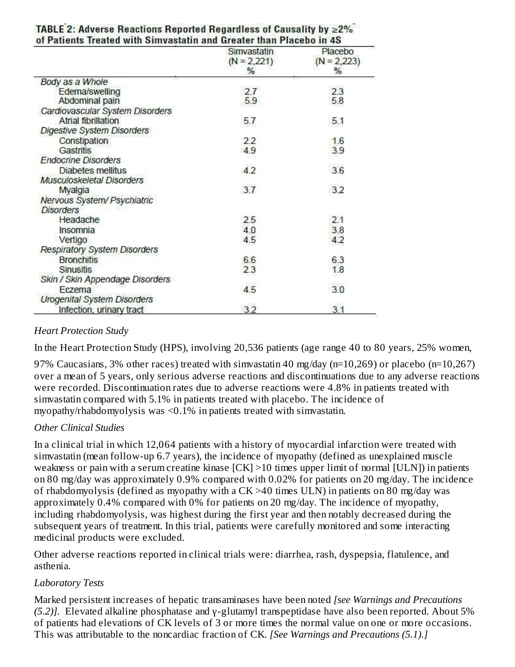|                                     | Simvastatin<br>$(N = 2,221)$ | Placebo<br>$(N = 2,223)$ |
|-------------------------------------|------------------------------|--------------------------|
|                                     | %                            | %                        |
| Body as a Whole                     |                              |                          |
| Edema/swelling                      | 2.7                          | 2.3                      |
| Abdominal pain                      | 5.9                          | 5.8                      |
| Cardiovascular System Disorders     |                              |                          |
| <b>Atrial fibrillation</b>          | 5.7                          | 5.1                      |
| <b>Digestive System Disorders</b>   |                              |                          |
| Constipation                        | 22                           | 1.6                      |
| Gastritis                           | 4.9                          | 3.9                      |
| <b>Endocrine Disorders</b>          |                              |                          |
| Diabetes mellitus                   | 4.2                          | 3.6                      |
| Musculoskeletal Disorders           |                              |                          |
| Myalgia                             | 3.7                          | 3.2                      |
| Nervous System/ Psychiatric         |                              |                          |
| <b>Disorders</b>                    |                              |                          |
| Headache                            | 2.5                          | 2.1                      |
| Insomnia                            | 4.0                          | 3.8                      |
| Vertigo                             | 4.5                          | 4.2                      |
| <b>Respiratory System Disorders</b> |                              |                          |
| <b>Bronchitis</b>                   | 6.6                          | 6.3                      |
| <b>Sinusitis</b>                    | 2.3                          | 1.8                      |
| Skin / Skin Appendage Disorders     |                              |                          |
| Eczema                              | 4.5                          | 225493<br>3.0            |
| <b>Urogenital System Disorders</b>  |                              |                          |
| Infection, urinary tract            | 3.2                          | 3.1                      |

# TABLE 2: Adverse Reactions Reported Regardless of Causality by  $\geq$ 2%

### *Heart Protection Study*

In the Heart Protection Study (HPS), involving 20,536 patients (age range 40 to 80 years, 25% women,

97% Caucasians, 3% other races) treated with simvastatin 40 mg/day (n=10,269) or placebo (n=10,267) over a mean of 5 years, only serious adverse reactions and discontinuations due to any adverse reactions were recorded. Discontinuation rates due to adverse reactions were 4.8% in patients treated with simvastatin compared with 5.1% in patients treated with placebo. The incidence of myopathy/rhabdomyolysis was <0.1% in patients treated with simvastatin.

### *Other Clinical Studies*

In a clinical trial in which 12,064 patients with a history of myocardial infarction were treated with simvastatin (mean follow-up 6.7 years), the incidence of myopathy (defined as unexplained muscle weakness or pain with a serum creatine kinase [CK] >10 times upper limit of normal [ULN]) in patients on 80 mg/day was approximately 0.9% compared with 0.02% for patients on 20 mg/day. The incidence of rhabdomyolysis (defined as myopathy with a CK >40 times ULN) in patients on 80 mg/day was approximately 0.4% compared with 0% for patients on 20 mg/day. The incidence of myopathy, including rhabdomyolysis, was highest during the first year and then notably decreased during the subsequent years of treatment. In this trial, patients were carefully monitored and some interacting medicinal products were excluded.

Other adverse reactions reported in clinical trials were: diarrhea, rash, dyspepsia, flatulence, and asthenia.

### *Laboratory Tests*

Marked persistent increases of hepatic transaminases have been noted *[see Warnings and Precautions (5.2)].* Elevated alkaline phosphatase and γ-glutamyl transpeptidase have also been reported. About 5% of patients had elevations of CK levels of 3 or more times the normal value on one or more occasions. This was attributable to the noncardiac fraction of CK. *[See Warnings and Precautions (5.1).]*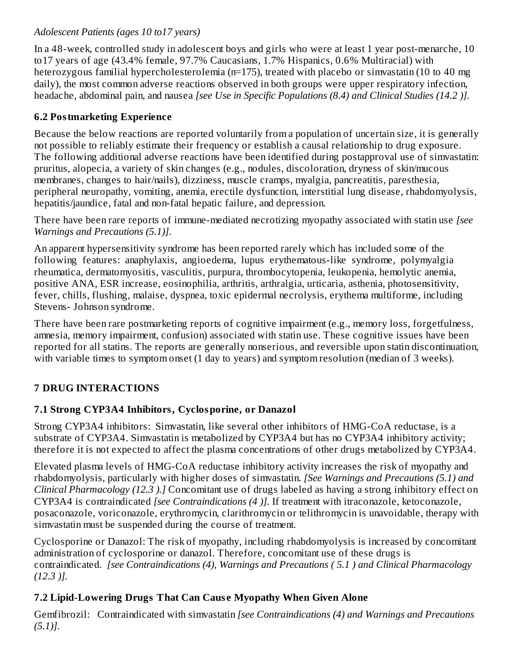### *Adolescent Patients (ages 10 to17 years)*

In a 48-week, controlled study in adolescent boys and girls who were at least 1 year post-menarche, 10 to17 years of age (43.4% female, 97.7% Caucasians, 1.7% Hispanics, 0.6% Multiracial) with heterozygous familial hypercholesterolemia (n=175), treated with placebo or simvastatin (10 to 40 mg daily), the most common adverse reactions observed in both groups were upper respiratory infection, headache, abdominal pain, and nausea *[see Use in Specific Populations (8.4) and Clinical Studies (14.2 )].*

### **6.2 Postmarketing Experience**

Because the below reactions are reported voluntarily from a population of uncertain size, it is generally not possible to reliably estimate their frequency or establish a causal relationship to drug exposure. The following additional adverse reactions have been identified during postapproval use of simvastatin: pruritus, alopecia, a variety of skin changes (e.g., nodules, discoloration, dryness of skin/mucous membranes, changes to hair/nails), dizziness, muscle cramps, myalgia, pancreatitis, paresthesia, peripheral neuropathy, vomiting, anemia, erectile dysfunction, interstitial lung disease, rhabdomyolysis, hepatitis/jaundice, fatal and non-fatal hepatic failure, and depression.

There have been rare reports of immune-mediated necrotizing myopathy associated with statin use *[see Warnings and Precautions (5.1)]*.

An apparent hypersensitivity syndrome has been reported rarely which has included some of the following features: anaphylaxis, angioedema, lupus erythematous-like syndrome, polymyalgia rheumatica, dermatomyositis, vasculitis, purpura, thrombocytopenia, leukopenia, hemolytic anemia, positive ANA, ESR increase, eosinophilia, arthritis, arthralgia, urticaria, asthenia, photosensitivity, fever, chills, flushing, malaise, dyspnea, toxic epidermal necrolysis, erythema multiforme, including Stevens- Johnson syndrome.

There have been rare postmarketing reports of cognitive impairment (e.g., memory loss, forgetfulness, amnesia, memory impairment, confusion) associated with statin use. These cognitive issues have been reported for all statins. The reports are generally nonserious, and reversible upon statin discontinuation, with variable times to symptom onset (1 day to years) and symptom resolution (median of 3 weeks).

### **7 DRUG INTERACTIONS**

### **7.1 Strong CYP3A4 Inhibitors, Cyclosporine, or Danazol**

Strong CYP3A4 inhibitors: Simvastatin, like several other inhibitors of HMG-CoA reductase, is a substrate of CYP3A4. Simvastatin is metabolized by CYP3A4 but has no CYP3A4 inhibitory activity; therefore it is not expected to affect the plasma concentrations of other drugs metabolized by CYP3A4.

Elevated plasma levels of HMG-CoA reductase inhibitory activity increases the risk of myopathy and rhabdomyolysis, particularly with higher doses of simvastatin. *[See Warnings and Precautions (5.1) and Clinical Pharmacology (12.3 ).]* Concomitant use of drugs labeled as having a strong inhibitory effect on CYP3A4 is contraindicated *[see Contraindications (4 )].* If treatment with itraconazole, ketoconazole, posaconazole, voriconazole, erythromycin, clarithromycin or telithromycin is unavoidable, therapy with simvastatin must be suspended during the course of treatment.

Cyclosporine or Danazol: The risk of myopathy, including rhabdomyolysis is increased by concomitant administration of cyclosporine or danazol. Therefore, concomitant use of these drugs is contraindicated. *[see Contraindications (4), Warnings and Precautions ( 5.1 ) and Clinical Pharmacology (12.3 )].*

### **7.2 Lipid-Lowering Drugs That Can Caus e Myopathy When Given Alone**

Gemfibrozil: Contraindicated with simvastatin *[see Contraindications (4) and Warnings and Precautions (5.1)].*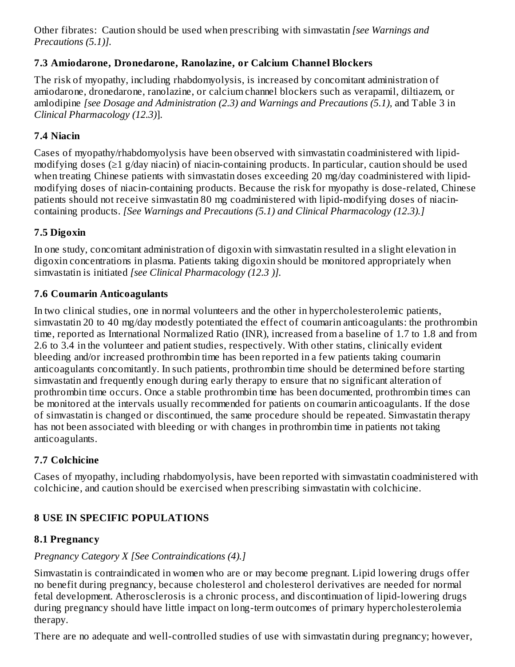Other fibrates: Caution should be used when prescribing with simvastatin *[see Warnings and Precautions (5.1)].*

### **7.3 Amiodarone, Dronedarone, Ranolazine, or Calcium Channel Blockers**

The risk of myopathy, including rhabdomyolysis, is increased by concomitant administration of amiodarone, dronedarone, ranolazine, or calcium channel blockers such as verapamil, diltiazem, or amlodipine *[see Dosage and Administration (2.3) and Warnings and Precautions (5.1),* and Table 3 in *Clinical Pharmacology (12.3)*].

### **7.4 Niacin**

Cases of myopathy/rhabdomyolysis have been observed with simvastatin coadministered with lipidmodifying doses (≥1 g/day niacin) of niacin-containing products. In particular, caution should be used when treating Chinese patients with simvastatin doses exceeding 20 mg/day coadministered with lipidmodifying doses of niacin-containing products. Because the risk for myopathy is dose-related, Chinese patients should not receive simvastatin 80 mg coadministered with lipid-modifying doses of niacincontaining products. *[See Warnings and Precautions (5.1) and Clinical Pharmacology (12.3).]*

### **7.5 Digoxin**

In one study, concomitant administration of digoxin with simvastatin resulted in a slight elevation in digoxin concentrations in plasma. Patients taking digoxin should be monitored appropriately when simvastatin is initiated *[see Clinical Pharmacology (12.3 )].*

### **7.6 Coumarin Anticoagulants**

In two clinical studies, one in normal volunteers and the other in hypercholesterolemic patients, simvastatin 20 to 40 mg/day modestly potentiated the effect of coumarin anticoagulants: the prothrombin time, reported as International Normalized Ratio (INR), increased from a baseline of 1.7 to 1.8 and from 2.6 to 3.4 in the volunteer and patient studies, respectively. With other statins, clinically evident bleeding and/or increased prothrombin time has been reported in a few patients taking coumarin anticoagulants concomitantly. In such patients, prothrombin time should be determined before starting simvastatin and frequently enough during early therapy to ensure that no significant alteration of prothrombin time occurs. Once a stable prothrombin time has been documented, prothrombin times can be monitored at the intervals usually recommended for patients on coumarin anticoagulants. If the dose of simvastatin is changed or discontinued, the same procedure should be repeated. Simvastatin therapy has not been associated with bleeding or with changes in prothrombin time in patients not taking anticoagulants.

### **7.7 Colchicine**

Cases of myopathy, including rhabdomyolysis, have been reported with simvastatin coadministered with colchicine, and caution should be exercised when prescribing simvastatin with colchicine.

### **8 USE IN SPECIFIC POPULATIONS**

### **8.1 Pregnancy**

### *Pregnancy Category X [See Contraindications (4).]*

Simvastatin is contraindicated in women who are or may become pregnant. Lipid lowering drugs offer no benefit during pregnancy, because cholesterol and cholesterol derivatives are needed for normal fetal development. Atherosclerosis is a chronic process, and discontinuation of lipid-lowering drugs during pregnancy should have little impact on long-term outcomes of primary hypercholesterolemia therapy.

There are no adequate and well-controlled studies of use with simvastatin during pregnancy; however,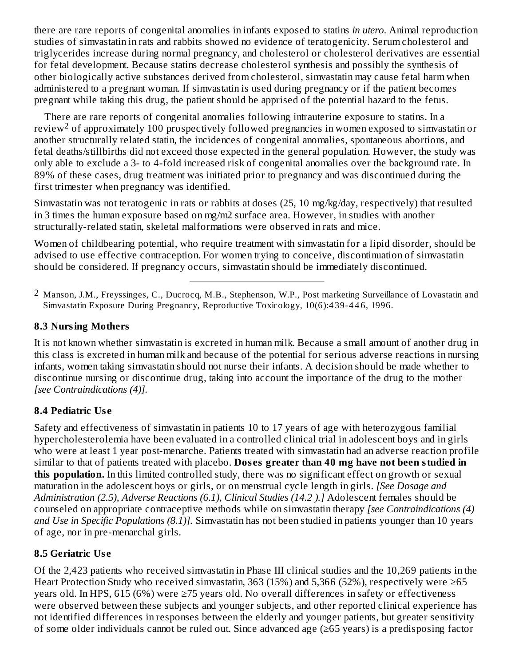there are rare reports of congenital anomalies in infants exposed to statins *in utero*. Animal reproduction studies of simvastatin in rats and rabbits showed no evidence of teratogenicity. Serum cholesterol and triglycerides increase during normal pregnancy, and cholesterol or cholesterol derivatives are essential for fetal development. Because statins decrease cholesterol synthesis and possibly the synthesis of other biologically active substances derived from cholesterol, simvastatin may cause fetal harm when administered to a pregnant woman. If simvastatin is used during pregnancy or if the patient becomes pregnant while taking this drug, the patient should be apprised of the potential hazard to the fetus.

There are rare reports of congenital anomalies following intrauterine exposure to statins. In a review<sup>2</sup> of approximately 100 prospectively followed pregnancies in women exposed to simvastatin or another structurally related statin, the incidences of congenital anomalies, spontaneous abortions, and fetal deaths/stillbirths did not exceed those expected in the general population. However, the study was only able to exclude a 3- to 4-fold increased risk of congenital anomalies over the background rate. In 89% of these cases, drug treatment was initiated prior to pregnancy and was discontinued during the first trimester when pregnancy was identified.

Simvastatin was not teratogenic in rats or rabbits at doses (25, 10 mg/kg/day, respectively) that resulted in 3 times the human exposure based on mg/m2 surface area. However, in studies with another structurally-related statin, skeletal malformations were observed in rats and mice.

Women of childbearing potential, who require treatment with simvastatin for a lipid disorder, should be advised to use effective contraception. For women trying to conceive, discontinuation of simvastatin should be considered. If pregnancy occurs, simvastatin should be immediately discontinued.

### **8.3 Nursing Mothers**

It is not known whether simvastatin is excreted in human milk. Because a small amount of another drug in this class is excreted in human milk and because of the potential for serious adverse reactions in nursing infants, women taking simvastatin should not nurse their infants. A decision should be made whether to discontinue nursing or discontinue drug, taking into account the importance of the drug to the mother *[see Contraindications (4)].*

### **8.4 Pediatric Us e**

Safety and effectiveness of simvastatin in patients 10 to 17 years of age with heterozygous familial hypercholesterolemia have been evaluated in a controlled clinical trial in adolescent boys and in girls who were at least 1 year post-menarche. Patients treated with simvastatin had an adverse reaction profile similar to that of patients treated with placebo. **Dos es greater than 40 mg have not been studied in this population.** In this limited controlled study, there was no significant effect on growth or sexual maturation in the adolescent boys or girls, or on menstrual cycle length in girls. *[See Dosage and Administration (2.5), Adverse Reactions (6.1), Clinical Studies (14.2 ).]* Adolescent females should be counseled on appropriate contraceptive methods while on simvastatin therapy *[see Contraindications (4) and Use in Specific Populations (8.1)].* Simvastatin has not been studied in patients younger than 10 years of age, nor in pre-menarchal girls.

### **8.5 Geriatric Us e**

Of the 2,423 patients who received simvastatin in Phase III clinical studies and the 10,269 patients in the Heart Protection Study who received simvastatin, 363 (15%) and 5,366 (52%), respectively were ≥65 years old. In HPS, 615 (6%) were ≥75 years old. No overall differences in safety or effectiveness were observed between these subjects and younger subjects, and other reported clinical experience has not identified differences in responses between the elderly and younger patients, but greater sensitivity of some older individuals cannot be ruled out. Since advanced age (≥65 years) is a predisposing factor

<sup>2</sup> Manson, J.M., Freyssinges, C., Ducrocq, M.B., Stephenson, W.P., Post marketing Surveillance of Lovastatin and Simvastatin Exposure During Pregnancy, Reproductive Toxicology, 10(6):4 39-4 4 6, 1996.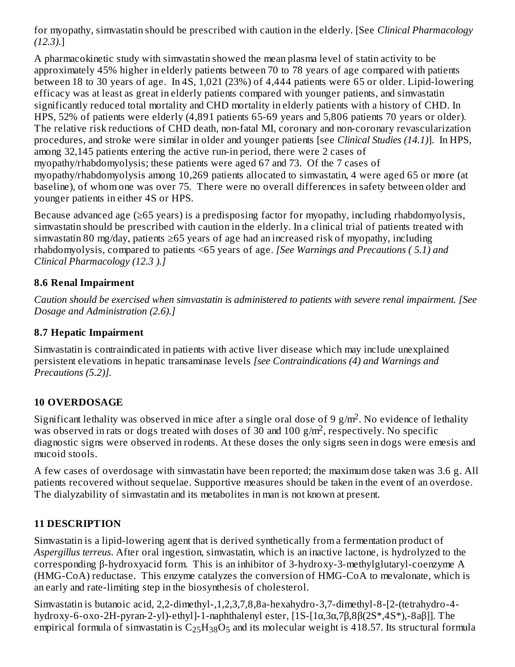for myopathy, simvastatin should be prescribed with caution in the elderly. [See *Clinical Pharmacology (12.3).*]

A pharmacokinetic study with simvastatin showed the mean plasma level of statin activity to be approximately 45% higher in elderly patients between 70 to 78 years of age compared with patients between 18 to 30 years of age. In 4S, 1,021 (23%) of 4,444 patients were 65 or older. Lipid-lowering efficacy was at least as great in elderly patients compared with younger patients, and simvastatin significantly reduced total mortality and CHD mortality in elderly patients with a history of CHD. In HPS, 52% of patients were elderly (4,891 patients 65-69 years and 5,806 patients 70 years or older). The relative risk reductions of CHD death, non-fatal MI, coronary and non-coronary revascularization procedures, and stroke were similar in older and younger patients [see *Clinical Studies (14.1)*]. In HPS, among 32,145 patients entering the active run-in period, there were 2 cases of myopathy/rhabdomyolysis; these patients were aged 67 and 73. Of the 7 cases of myopathy/rhabdomyolysis among 10,269 patients allocated to simvastatin, 4 were aged 65 or more (at baseline), of whom one was over 75. There were no overall differences in safety between older and younger patients in either 4S or HPS.

Because advanced age (≥65 years) is a predisposing factor for myopathy, including rhabdomyolysis, simvastatin should be prescribed with caution in the elderly. In a clinical trial of patients treated with simvastatin 80 mg/day, patients ≥65 years of age had an increased risk of myopathy, including rhabdomyolysis, compared to patients <65 years of age. *[See Warnings and Precautions ( 5.1) and Clinical Pharmacology (12.3 ).]*

### **8.6 Renal Impairment**

*Caution should be exercised when simvastatin is administered to patients with severe renal impairment. [See Dosage and Administration (2.6).]*

### **8.7 Hepatic Impairment**

Simvastatin is contraindicated in patients with active liver disease which may include unexplained persistent elevations in hepatic transaminase levels *[see Contraindications (4) and Warnings and Precautions (5.2)].*

### **10 OVERDOSAGE**

Significant lethality was observed in mice after a single oral dose of 9 g/m<sup>2</sup>. No evidence of lethality was observed in rats or dogs treated with doses of 30 and 100  $\frac{g}{m^2}$ , respectively. No specific diagnostic signs were observed in rodents. At these doses the only signs seen in dogs were emesis and mucoid stools.

A few cases of overdosage with simvastatin have been reported; the maximum dose taken was 3.6 g. All patients recovered without sequelae. Supportive measures should be taken in the event of an overdose. The dialyzability of simvastatin and its metabolites in man is not known at present.

### **11 DESCRIPTION**

Simvastatin is a lipid-lowering agent that is derived synthetically from a fermentation product of *Aspergillus terreus*. After oral ingestion, simvastatin, which is an inactive lactone, is hydrolyzed to the corresponding β-hydroxyacid form. This is an inhibitor of 3-hydroxy-3-methylglutaryl-coenzyme A (HMG-CoA) reductase. This enzyme catalyzes the conversion of HMG-CoA to mevalonate, which is an early and rate-limiting step in the biosynthesis of cholesterol.

Simvastatin is butanoic acid, 2,2-dimethyl-,1,2,3,7,8,8a-hexahydro-3,7-dimethyl-8-[2-(tetrahydro-4 hydroxy-6-oxo-2H-pyran-2-yl)-ethyl]-1-naphthalenyl ester, [1S-[1α,3α,7β,8β(2S\*,4S\*),-8aβ]]. The empirical formula of simvastatin is  $\rm{C_{25}H_{38}O_{5}}$  and its molecular weight is 418.57. Its structural formula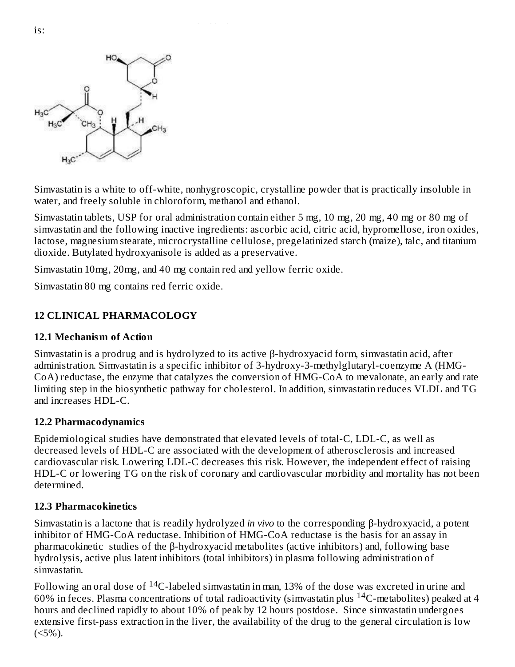

Simvastatin is a white to off-white, nonhygroscopic, crystalline powder that is practically insoluble in water, and freely soluble in chloroform, methanol and ethanol.

Simvastatin tablets, USP for oral administration contain either 5 mg, 10 mg, 20 mg, 40 mg or 80 mg of simvastatin and the following inactive ingredients: ascorbic acid, citric acid, hypromellose, iron oxides, lactose, magnesium stearate, microcrystalline cellulose, pregelatinized starch (maize), talc, and titanium dioxide. Butylated hydroxyanisole is added as a preservative.

Simvastatin 10mg, 20mg, and 40 mg contain red and yellow ferric oxide.

25 38 5

Simvastatin 80 mg contains red ferric oxide.

### **12 CLINICAL PHARMACOLOGY**

#### **12.1 Mechanism of Action**

Simvastatin is a prodrug and is hydrolyzed to its active β-hydroxyacid form, simvastatin acid, after administration. Simvastatin is a specific inhibitor of 3-hydroxy-3-methylglutaryl-coenzyme A (HMG-CoA) reductase, the enzyme that catalyzes the conversion of HMG-CoA to mevalonate, an early and rate limiting step in the biosynthetic pathway for cholesterol. In addition, simvastatin reduces VLDL and TG and increases HDL-C.

#### **12.2 Pharmacodynamics**

Epidemiological studies have demonstrated that elevated levels of total-C, LDL-C, as well as decreased levels of HDL-C are associated with the development of atherosclerosis and increased cardiovascular risk. Lowering LDL-C decreases this risk. However, the independent effect of raising HDL-C or lowering TG on the risk of coronary and cardiovascular morbidity and mortality has not been determined.

#### **12.3 Pharmacokinetics**

Simvastatin is a lactone that is readily hydrolyzed *in vivo* to the corresponding β-hydroxyacid, a potent inhibitor of HMG-CoA reductase. Inhibition of HMG-CoA reductase is the basis for an assay in pharmacokinetic studies of the β-hydroxyacid metabolites (active inhibitors) and, following base hydrolysis, active plus latent inhibitors (total inhibitors) in plasma following administration of simvastatin.

Following an oral dose of  $\rm ^{14}C$ -labeled simvastatin in man, 13% of the dose was excreted in urine and 60% in feces. Plasma concentrations of total radioactivity (simvastatin plus  $^{14}$ C-metabolites) peaked at 4 hours and declined rapidly to about 10% of peak by 12 hours postdose. Since simvastatin undergoes extensive first-pass extraction in the liver, the availability of the drug to the general circulation is low  $(<5\%)$ .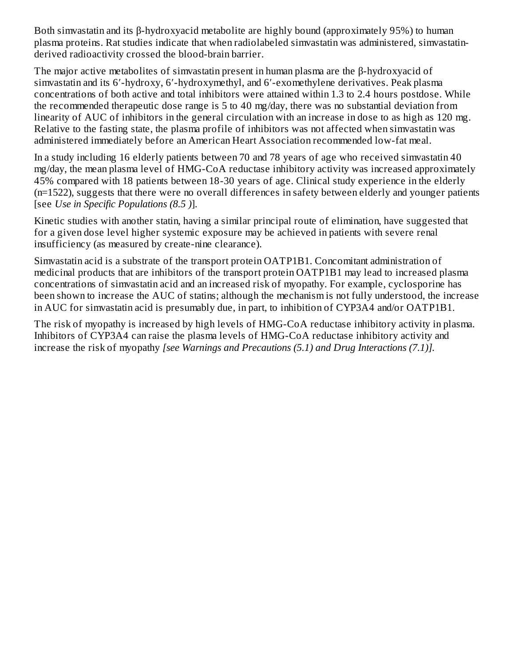Both simvastatin and its β-hydroxyacid metabolite are highly bound (approximately 95%) to human plasma proteins. Rat studies indicate that when radiolabeled simvastatin was administered, simvastatinderived radioactivity crossed the blood-brain barrier.

The major active metabolites of simvastatin present in human plasma are the β-hydroxyacid of simvastatin and its 6′-hydroxy, 6′-hydroxymethyl, and 6′-exomethylene derivatives. Peak plasma concentrations of both active and total inhibitors were attained within 1.3 to 2.4 hours postdose. While the recommended therapeutic dose range is 5 to 40 mg/day, there was no substantial deviation from linearity of AUC of inhibitors in the general circulation with an increase in dose to as high as 120 mg. Relative to the fasting state, the plasma profile of inhibitors was not affected when simvastatin was administered immediately before an American Heart Association recommended low-fat meal.

In a study including 16 elderly patients between 70 and 78 years of age who received simvastatin 40 mg/day, the mean plasma level of HMG-CoA reductase inhibitory activity was increased approximately 45% compared with 18 patients between 18-30 years of age. Clinical study experience in the elderly (n=1522), suggests that there were no overall differences in safety between elderly and younger patients [see *Use in Specific Populations (8.5 )*].

Kinetic studies with another statin, having a similar principal route of elimination, have suggested that for a given dose level higher systemic exposure may be achieved in patients with severe renal insufficiency (as measured by create-nine clearance).

Simvastatin acid is a substrate of the transport protein OATP1B1. Concomitant administration of medicinal products that are inhibitors of the transport protein OATP1B1 may lead to increased plasma concentrations of simvastatin acid and an increased risk of myopathy. For example, cyclosporine has been shown to increase the AUC of statins; although the mechanism is not fully understood, the increase in AUC for simvastatin acid is presumably due, in part, to inhibition of CYP3A4 and/or OATP1B1.

The risk of myopathy is increased by high levels of HMG-CoA reductase inhibitory activity in plasma. Inhibitors of CYP3A4 can raise the plasma levels of HMG-CoA reductase inhibitory activity and increase the risk of myopathy *[see Warnings and Precautions (5.1) and Drug Interactions (7.1)].*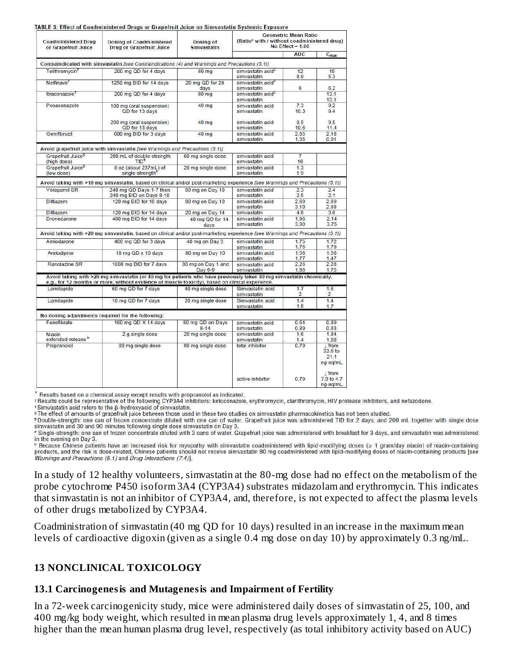| <b>Coadministered Drug</b><br>or Grapefruit Juice | Dosing of Coadministered<br><b>Drug or Grapefruit Juice</b>                                                                                                                                                               | Dosing of<br><b>Simvastatin</b> | <b>Geometric Mean Ratio</b><br>(Ratio* with / without coadministered drug)<br>No Effect = $1.00$ |                       |                                             |  |
|---------------------------------------------------|---------------------------------------------------------------------------------------------------------------------------------------------------------------------------------------------------------------------------|---------------------------------|--------------------------------------------------------------------------------------------------|-----------------------|---------------------------------------------|--|
|                                                   |                                                                                                                                                                                                                           |                                 |                                                                                                  | <b>AUC</b>            | $C_{\text{max}}$                            |  |
|                                                   | Contraindicated with simvastatin [see Contraindications (4) and Warnings and Precautions (5.1)]                                                                                                                           |                                 |                                                                                                  |                       |                                             |  |
| Telithromycin <sup>+</sup>                        | 200 mg QD for 4 days                                                                                                                                                                                                      | 80 mg                           | simvastatin acid <sup>‡</sup><br>simvastatin                                                     | 12<br>8.9             | 15<br>5.3                                   |  |
| Nelfinavir <sup>+</sup>                           | 1250 mg BID for 14 days                                                                                                                                                                                                   | 20 mg QD for 28<br>days         | simvastatin acid <sup>+</sup><br>simvastatin                                                     | 6                     | 6.2                                         |  |
| Itraconazole <sup>†</sup>                         | 200 mg QD for 4 days                                                                                                                                                                                                      | 80 mg                           | simvastatin acid <sup>‡</sup><br>simvastatin                                                     |                       | 13.1<br>13.1                                |  |
| Posaconazole                                      | 100 mg (oral suspension)<br>QD for 13 days                                                                                                                                                                                | 40 mg                           | simvastatin acid<br>simvastatin                                                                  | 7.3<br>10.3           | 9.2<br>9.4                                  |  |
|                                                   | 200 mg (oral suspension)<br>QD for 13 days                                                                                                                                                                                | 40 mg                           | simvastatin acid<br>simvastatin                                                                  | 8.5<br>10.6           | 9.5<br>11.4                                 |  |
| Gemfibrozil                                       | 600 mg BID for 3 days                                                                                                                                                                                                     | 40 mg                           | simvastatin acid<br>simvastatin                                                                  | 2.85<br>1.35          | 2.18<br>0.91                                |  |
|                                                   | Avoid grapefruit juice with simvastatin [see Warnings and Precautions (5.1)]                                                                                                                                              |                                 |                                                                                                  |                       |                                             |  |
| Grapefruit Juice <sup>§</sup><br>(high dose)      | 200 mL of double-strength<br>TID <sup>1</sup>                                                                                                                                                                             | 60 mg single dose               | simvastatin acid<br>simvastatin                                                                  | $\overline{7}$<br>16  |                                             |  |
| Grapefruit Juice <sup>9</sup><br>(low dose)       | 8 oz (about 237mL) of<br>single-strength"                                                                                                                                                                                 | 20 mg single dose               | simvastatin acid<br>simvastatin                                                                  | 1.3<br>1.9            |                                             |  |
|                                                   | Avoid taking with >10 mg simvastatin, based on clinical and/or post-marketing experience [see Warnings and Precautions (5.1)]                                                                                             |                                 |                                                                                                  |                       |                                             |  |
| Verapamil SR                                      | 240 mg QD Days 1-7 then<br>240 mg BID on Days 8-10                                                                                                                                                                        | 80 mg on Day 10                 | simvastatin acid<br>simvastatin                                                                  | 2.3<br>2.5            | 24<br>2.1                                   |  |
| Diltiazem                                         | 120 mg BID for 10 days                                                                                                                                                                                                    | 80 mg on Day 10                 | simvastatin acid<br>simvastatin                                                                  | 2.69<br>3.10          | 2.69<br>2.88                                |  |
| Diltiazem                                         | 120 mg BID for 14 days                                                                                                                                                                                                    | 20 mg on Day 14                 | simvastatin                                                                                      |                       | 3.6                                         |  |
| Dronedarone                                       | 400 mg BID for 14 days                                                                                                                                                                                                    | 40 mg QD for 14<br>days         | simvastatin acid<br>simvastatin                                                                  | 1.96<br>3.90          | 2.14<br>3.75                                |  |
|                                                   | Avoid taking with >20 mg simvastatin, based on clinical and/or post-marketing experience [see Warnings and Precautions (5.1)]                                                                                             |                                 |                                                                                                  |                       |                                             |  |
| Amiodarone                                        | 400 mg QD for 3 days                                                                                                                                                                                                      | 40 mg on Day 3                  | simvastatin acid<br>simvastatin                                                                  | 1.75<br>1.76          | 1.72<br>1.79                                |  |
| Amlodipine                                        | 10 mg QD x 10 days                                                                                                                                                                                                        | 80 mg on Day 10                 | simvastatin acid<br>simvastatin                                                                  | 1.58<br>1.77          | 1.56<br>1.47                                |  |
| Ranolazine SR                                     | 1000 mg BID for 7 days                                                                                                                                                                                                    | 80 mg on Day 1 and<br>Day 6-9   | simvastatin acid<br>simvastatin                                                                  | 2.26<br>1.86          | 2.28<br>1.75                                |  |
|                                                   | Avoid taking with >20 mg simvastatin (or 40 mg for patients who have previously taken 80 mg simvastatin chronically,<br>e.g., for 12 months or more, without evidence of muscle to xicity), based on clinical experience. |                                 |                                                                                                  |                       |                                             |  |
| Lomitapide                                        | 60 mg QD for 7 days                                                                                                                                                                                                       | 40 mg single dose               | Simvastatin acid<br>simvastatin                                                                  | 1.7<br>$\overline{2}$ | 1.6<br>2                                    |  |
| Lomitapide                                        | 10 mg QD for 7 days                                                                                                                                                                                                       | 20 mg single dose               | Simvastatin acid<br>simvastatin                                                                  | 14<br>1.6             | 1.4<br>1.7                                  |  |
|                                                   | No dosing adjustments required for the following:                                                                                                                                                                         |                                 |                                                                                                  |                       |                                             |  |
| Fenofibrate                                       | 160 mg QD X 14 days                                                                                                                                                                                                       | 80 mg QD on Days                | simvastatin acid                                                                                 | 0.64                  | 0.89                                        |  |
|                                                   |                                                                                                                                                                                                                           | $8 - 14$                        | simvastatin                                                                                      | 0.89                  | 0.83                                        |  |
| Niacin<br>extended-release <sup>b</sup>           | 2 g single dose                                                                                                                                                                                                           | 20 mg single dose               | simvastatin acid<br>simvastatin                                                                  | 1.6<br>1.4            | 1.84<br>1.08                                |  |
| Propranolol                                       | 80 mg single dose                                                                                                                                                                                                         | 80 mg single dose               | total inhibitor                                                                                  | 0.79                  | $\perp$ from<br>33.6 to<br>21.1<br>ng-eg/mL |  |
|                                                   |                                                                                                                                                                                                                           |                                 | active inhibitor                                                                                 | 0.79                  | $\perp$ from<br>7.0 to 4.7<br>ng-eq/mL      |  |

\* Results based on a chemical assay except results with propranolol as indicated.<br>†Results could be representative of the following CYP3A4 inhibitors: ketoconazole, erythromycin, clarithromycin, HIV protease inhibitors, an

<sup>‡</sup> Simvastatin acid refers to the β-hydroxyacid of simvastatin.

<sup>§</sup> The effect of amounts of grapefruit juice between those used in these two studies on simvastatin pharmacokinetics has not been studied.

\*Double-strength: one can of frozen concentrate diluted with one can of water. Grapefruit juice was administered TID for 2 days, and 200 mL together with single dose simvastatin and 30 and 90 minutes following single dose simvastatin on Day 3.

Single-strength: one can of frozen concentrate diluted with 3 cans of water. Grapefruit juice was administered with breakfast for 3 days, and simvastatin was administered in the evening on Day 3.

P Because Chinese patients have an increased risk for myopathy with simvastatin coadministered with lipid-modifying doses (≥ 1 gram/day niacin) of niacin-containing<br>products, and the risk is dose-related, Chinese patients Warnings and Precautions (5.1) and Drug Interactions (7.4)].

In a study of 12 healthy volunteers, simvastatin at the 80-mg dose had no effect on the metabolism of the probe cytochrome P450 isoform 3A4 (CYP3A4) substrates midazolam and erythromycin. This indicates that simvastatin is not an inhibitor of CYP3A4, and, therefore, is not expected to affect the plasma levels of other drugs metabolized by CYP3A4.

Coadministration of simvastatin (40 mg QD for 10 days) resulted in an increase in the maximum mean levels of cardioactive digoxin (given as a single 0.4 mg dose on day 10) by approximately 0.3 ng/mL.

#### **13 NONCLINICAL TOXICOLOGY**

#### **13.1 Carcinogenesis and Mutagenesis and Impairment of Fertility**

In a 72-week carcinogenicity study, mice were administered daily doses of simvastatin of 25, 100, and 400 mg/kg body weight, which resulted in mean plasma drug levels approximately 1, 4, and 8 times higher than the mean human plasma drug level, respectively (as total inhibitory activity based on AUC)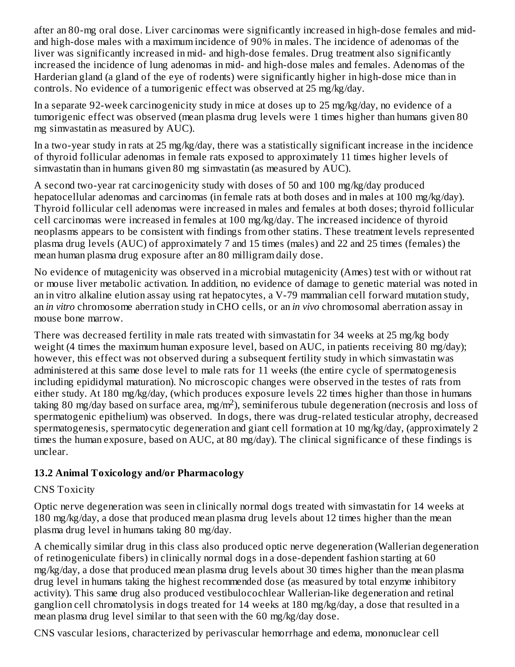after an 80-mg oral dose. Liver carcinomas were significantly increased in high-dose females and midand high-dose males with a maximum incidence of 90% in males. The incidence of adenomas of the liver was significantly increased in mid- and high-dose females. Drug treatment also significantly increased the incidence of lung adenomas in mid- and high-dose males and females. Adenomas of the Harderian gland (a gland of the eye of rodents) were significantly higher in high-dose mice than in controls. No evidence of a tumorigenic effect was observed at 25 mg/kg/day.

In a separate 92-week carcinogenicity study in mice at doses up to 25 mg/kg/day, no evidence of a tumorigenic effect was observed (mean plasma drug levels were 1 times higher than humans given 80 mg simvastatin as measured by AUC).

In a two-year study in rats at 25 mg/kg/day, there was a statistically significant increase in the incidence of thyroid follicular adenomas in female rats exposed to approximately 11 times higher levels of simvastatin than in humans given 80 mg simvastatin (as measured by AUC).

A second two-year rat carcinogenicity study with doses of 50 and 100 mg/kg/day produced hepatocellular adenomas and carcinomas (in female rats at both doses and in males at 100 mg/kg/day). Thyroid follicular cell adenomas were increased in males and females at both doses; thyroid follicular cell carcinomas were increased in females at 100 mg/kg/day. The increased incidence of thyroid neoplasms appears to be consistent with findings from other statins. These treatment levels represented plasma drug levels (AUC) of approximately 7 and 15 times (males) and 22 and 25 times (females) the mean human plasma drug exposure after an 80 milligram daily dose.

No evidence of mutagenicity was observed in a microbial mutagenicity (Ames) test with or without rat or mouse liver metabolic activation. In addition, no evidence of damage to genetic material was noted in an in vitro alkaline elution assay using rat hepatocytes, a V-79 mammalian cell forward mutation study, an *in vitro* chromosome aberration study in CHO cells, or an *in vivo* chromosomal aberration assay in mouse bone marrow.

There was decreased fertility in male rats treated with simvastatin for 34 weeks at 25 mg/kg body weight (4 times the maximum human exposure level, based on AUC, in patients receiving 80 mg/day); however, this effect was not observed during a subsequent fertility study in which simvastatin was administered at this same dose level to male rats for 11 weeks (the entire cycle of spermatogenesis including epididymal maturation). No microscopic changes were observed in the testes of rats from either study. At 180 mg/kg/day, (which produces exposure levels 22 times higher than those in humans taking 80 mg/day based on surface area, mg/m<sup>2</sup>), seminiferous tubule degeneration (necrosis and loss of spermatogenic epithelium) was observed. In dogs, there was drug-related testicular atrophy, decreased spermatogenesis, spermatocytic degeneration and giant cell formation at 10 mg/kg/day, (approximately 2 times the human exposure, based on AUC, at 80 mg/day). The clinical significance of these findings is unclear.

### **13.2 Animal Toxicology and/or Pharmacology**

#### CNS Toxicity

Optic nerve degeneration was seen in clinically normal dogs treated with simvastatin for 14 weeks at 180 mg/kg/day, a dose that produced mean plasma drug levels about 12 times higher than the mean plasma drug level in humans taking 80 mg/day.

A chemically similar drug in this class also produced optic nerve degeneration (Wallerian degeneration of retinogeniculate fibers) in clinically normal dogs in a dose-dependent fashion starting at 60 mg/kg/day, a dose that produced mean plasma drug levels about 30 times higher than the mean plasma drug level in humans taking the highest recommended dose (as measured by total enzyme inhibitory activity). This same drug also produced vestibulocochlear Wallerian-like degeneration and retinal ganglion cell chromatolysis in dogs treated for 14 weeks at 180 mg/kg/day, a dose that resulted in a mean plasma drug level similar to that seen with the 60 mg/kg/day dose.

CNS vascular lesions, characterized by perivascular hemorrhage and edema, mononuclear cell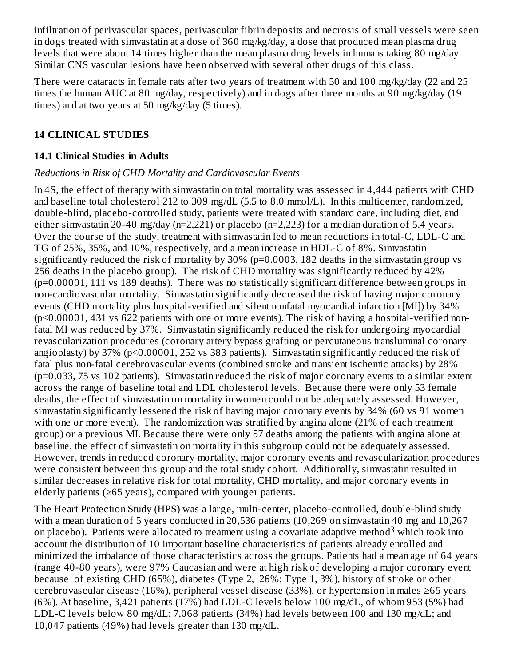infiltration of perivascular spaces, perivascular fibrin deposits and necrosis of small vessels were seen in dogs treated with simvastatin at a dose of 360 mg/kg/day, a dose that produced mean plasma drug levels that were about 14 times higher than the mean plasma drug levels in humans taking 80 mg/day. Similar CNS vascular lesions have been observed with several other drugs of this class.

There were cataracts in female rats after two years of treatment with 50 and 100 mg/kg/day (22 and 25 times the human AUC at 80 mg/day, respectively) and in dogs after three months at 90 mg/kg/day (19 times) and at two years at 50 mg/kg/day (5 times).

### **14 CLINICAL STUDIES**

### **14.1 Clinical Studies in Adults**

#### *Reductions in Risk of CHD Mortality and Cardiovascular Events*

In 4S, the effect of therapy with simvastatin on total mortality was assessed in 4,444 patients with CHD and baseline total cholesterol 212 to 309 mg/dL (5.5 to 8.0 mmol/L). In this multicenter, randomized, double-blind, placebo-controlled study, patients were treated with standard care, including diet, and either simvastatin 20-40 mg/day (n=2,221) or placebo (n=2,223) for a median duration of 5.4 years. Over the course of the study, treatment with simvastatin led to mean reductions in total-C, LDL-C and TG of 25%, 35%, and 10%, respectively, and a mean increase in HDL-C of 8%. Simvastatin significantly reduced the risk of mortality by 30% (p=0.0003, 182 deaths in the simvastatin group vs 256 deaths in the placebo group). The risk of CHD mortality was significantly reduced by 42% (p=0.00001, 111 vs 189 deaths). There was no statistically significant difference between groups in non-cardiovascular mortality. Simvastatin significantly decreased the risk of having major coronary events (CHD mortality plus hospital-verified and silent nonfatal myocardial infarction [MI]) by 34% (p<0.00001, 431 vs 622 patients with one or more events). The risk of having a hospital-verified nonfatal MI was reduced by 37%. Simvastatin significantly reduced the risk for undergoing myocardial revascularization procedures (coronary artery bypass grafting or percutaneous transluminal coronary angioplasty) by 37% (p<0.00001, 252 vs 383 patients). Simvastatin significantly reduced the risk of fatal plus non-fatal cerebrovascular events (combined stroke and transient ischemic attacks) by 28% (p=0.033, 75 vs 102 patients). Simvastatin reduced the risk of major coronary events to a similar extent across the range of baseline total and LDL cholesterol levels. Because there were only 53 female deaths, the effect of simvastatin on mortality in women could not be adequately assessed. However, simvastatin significantly lessened the risk of having major coronary events by 34% (60 vs 91 women with one or more event). The randomization was stratified by angina alone (21% of each treatment group) or a previous MI. Because there were only 57 deaths among the patients with angina alone at baseline, the effect of simvastatin on mortality in this subgroup could not be adequately assessed. However, trends in reduced coronary mortality, major coronary events and revascularization procedures were consistent between this group and the total study cohort. Additionally, simvastatin resulted in similar decreases in relative risk for total mortality, CHD mortality, and major coronary events in elderly patients (≥65 years), compared with younger patients.

The Heart Protection Study (HPS) was a large, multi-center, placebo-controlled, double-blind study with a mean duration of 5 years conducted in 20,536 patients (10,269 on simvastatin 40 mg and 10,267 on placebo). Patients were allocated to treatment using a covariate adaptive method<sup>3</sup> which took into account the distribution of 10 important baseline characteristics of patients already enrolled and minimized the imbalance of those characteristics across the groups. Patients had a mean age of 64 years (range 40-80 years), were 97% Caucasian and were at high risk of developing a major coronary event because of existing CHD (65%), diabetes (Type 2, 26%; Type 1, 3%), history of stroke or other cerebrovascular disease (16%), peripheral vessel disease (33%), or hypertension in males ≥65 years (6%). At baseline, 3,421 patients (17%) had LDL-C levels below 100 mg/dL, of whom 953 (5%) had LDL-C levels below 80 mg/dL; 7,068 patients (34%) had levels between 100 and 130 mg/dL; and 10,047 patients (49%) had levels greater than 130 mg/dL.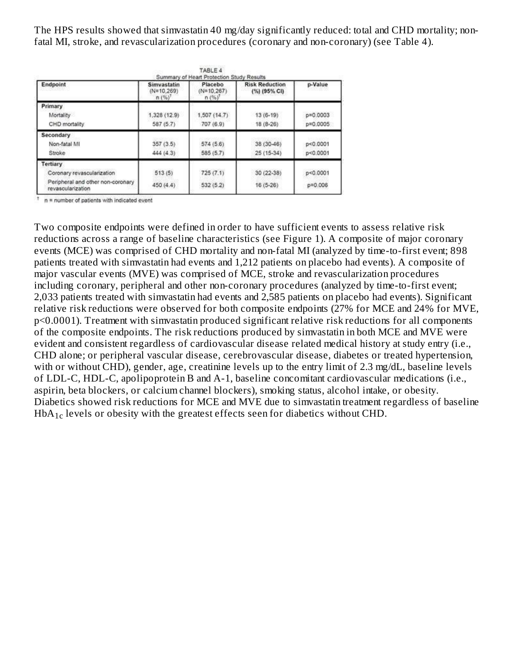The HPS results showed that simvastatin 40 mg/day significantly reduced: total and CHD mortality; nonfatal MI, stroke, and revascularization procedures (coronary and non-coronary) (see Table 4).

|                                                        | Summary of Heart Protection Study Results |                                 |                                       |              |  |
|--------------------------------------------------------|-------------------------------------------|---------------------------------|---------------------------------------|--------------|--|
| Endpoint                                               | Simvastatin<br>$(N=10.269)$<br>$n(%)^{7}$ | Placebo<br>$(N=10.267)$<br>n(%) | <b>Risk Reduction</b><br>(%) (95% CI) | p-Value      |  |
| Primary                                                |                                           |                                 |                                       |              |  |
| Mortality                                              | 1,328 (12.9)                              | 1,507 (14.7)                    | $13(6-19)$                            | $p = 0.0003$ |  |
| CHD mortality                                          | 587 (5.7)                                 | 707 (6.9)                       | $18(8-26)$                            | p=0.0005     |  |
| Secondary                                              |                                           |                                 |                                       |              |  |
| Non-fatal MI                                           | 357(3.5)                                  | 574 (5.6)                       | 38 (30-46)                            | p<0.0001     |  |
| Stroke                                                 | 444 (4.3)                                 | 585 (5.7)                       | 25 (15-34)                            | p < 0.0001   |  |
| <b>Tertiary</b>                                        |                                           |                                 |                                       |              |  |
| Coronary revascularization                             | 513(5)                                    | 725(7.1)                        | 30 (22-38)                            | p<0.0001     |  |
| Peripheral and other non-coronary<br>revascularization | 450 (4.4)                                 | 532(5.2)                        | $16(5-26)$                            | p=0.006      |  |

 $\uparrow$  n = number of patients with indicated event

Two composite endpoints were defined in order to have sufficient events to assess relative risk reductions across a range of baseline characteristics (see Figure 1). A composite of major coronary events (MCE) was comprised of CHD mortality and non-fatal MI (analyzed by time-to-first event; 898 patients treated with simvastatin had events and 1,212 patients on placebo had events). A composite of major vascular events (MVE) was comprised of MCE, stroke and revascularization procedures including coronary, peripheral and other non-coronary procedures (analyzed by time-to-first event; 2,033 patients treated with simvastatin had events and 2,585 patients on placebo had events). Significant relative risk reductions were observed for both composite endpoints (27% for MCE and 24% for MVE, p<0.0001). Treatment with simvastatin produced significant relative risk reductions for all components of the composite endpoints. The risk reductions produced by simvastatin in both MCE and MVE were evident and consistent regardless of cardiovascular disease related medical history at study entry (i.e., CHD alone; or peripheral vascular disease, cerebrovascular disease, diabetes or treated hypertension, with or without CHD), gender, age, creatinine levels up to the entry limit of 2.3 mg/dL, baseline levels of LDL-C, HDL-C, apolipoprotein B and A-1, baseline concomitant cardiovascular medications (i.e., aspirin, beta blockers, or calcium channel blockers), smoking status, alcohol intake, or obesity. Diabetics showed risk reductions for MCE and MVE due to simvastatin treatment regardless of baseline  $HbA_{1c}$  levels or obesity with the greatest effects seen for diabetics without CHD.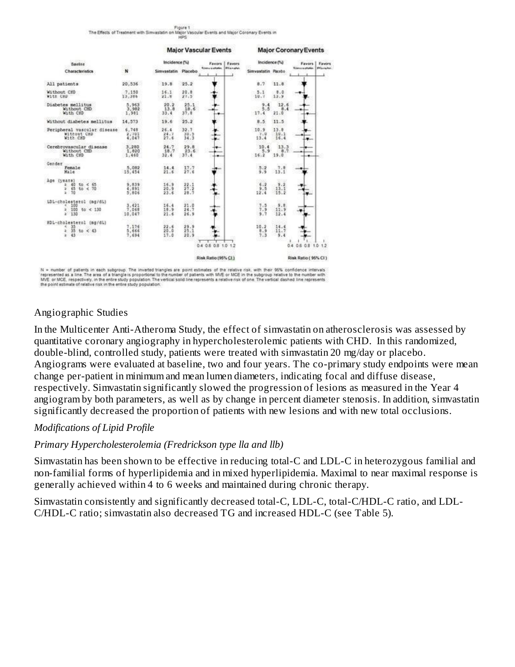



represented as a line. The area of a transje is proportional to the number of patients with MVE or MCE in the subgroup relative to the number with<br>MVE or MCE, respectively, in the entire study population. The vertical soli

#### Angiographic Studies

In the Multicenter Anti-Atheroma Study, the effect of simvastatin on atherosclerosis was assessed by quantitative coronary angiography in hypercholesterolemic patients with CHD. In this randomized, double-blind, controlled study, patients were treated with simvastatin 20 mg/day or placebo. Angiograms were evaluated at baseline, two and four years. The co-primary study endpoints were mean change per-patient in minimum and mean lumen diameters, indicating focal and diffuse disease, respectively. Simvastatin significantly slowed the progression of lesions as measured in the Year 4 angiogram by both parameters, as well as by change in percent diameter stenosis. In addition, simvastatin significantly decreased the proportion of patients with new lesions and with new total occlusions.

#### *Modifications of Lipid Profile*

#### *Primary Hypercholesterolemia (Fredrickson type lla and llb)*

Simvastatin has been shown to be effective in reducing total-C and LDL-C in heterozygous familial and non-familial forms of hyperlipidemia and in mixed hyperlipidemia. Maximal to near maximal response is generally achieved within 4 to 6 weeks and maintained during chronic therapy.

Simvastatin consistently and significantly decreased total-C, LDL-C, total-C/HDL-C ratio, and LDL-C/HDL-C ratio; simvastatin also decreased TG and increased HDL-C (see Table 5).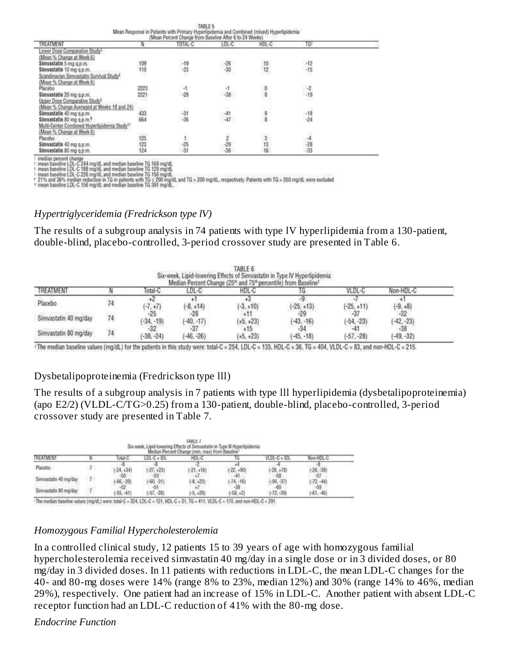|                                                                                                                                                      |            | IABLE 0        |                |        |                |  |  |  |
|------------------------------------------------------------------------------------------------------------------------------------------------------|------------|----------------|----------------|--------|----------------|--|--|--|
| Mean Response in Patients with Primary Hyperlipidemia and Combined (mixed) Hyperlipidemia<br>(Mean Percent Change from Baseline After 6 to 24 Weeks) |            |                |                |        |                |  |  |  |
| TREATMENT                                                                                                                                            |            | TOTAL-C        | LDL-C          | HDL-C  | TG             |  |  |  |
| ower Dose Comparative Study <sup>t</sup>                                                                                                             |            |                |                |        |                |  |  |  |
| (Mean % Change at Week 6)                                                                                                                            |            |                |                |        |                |  |  |  |
| Simvastatin 5 mg q.p.m.                                                                                                                              | 109        | $-19$<br>$-23$ | $-26$<br>$-30$ |        | $-12$          |  |  |  |
| Simvastatin 10 mg q.p.m.                                                                                                                             | 110        |                |                | 12     | $-15$          |  |  |  |
| Scandinavian Simvastatin Survival Study®                                                                                                             |            | <b>UCL</b>     |                |        |                |  |  |  |
| (Mean % Change at Week 6)                                                                                                                            |            |                |                |        |                |  |  |  |
| Placebo                                                                                                                                              | 2223       | -1             | $-1$<br>$-38$  | 0<br>8 | $-2$<br>$-19$  |  |  |  |
| Simvastatin 20 mg q.p.m.                                                                                                                             | 2221       | $-28$          |                |        |                |  |  |  |
| Upper Dose Comparative Study                                                                                                                         |            |                |                |        |                |  |  |  |
| (Mean % Change Averaged at Weeks 18 and 24)                                                                                                          |            |                |                |        |                |  |  |  |
| Simvastatin 40 mg q.p.m.                                                                                                                             | 433<br>664 | $-31$<br>$-36$ | $-41$          | 9      | $-18$<br>$-24$ |  |  |  |
| Simvastatin 80 mg q.p.m. <sup>1</sup>                                                                                                                |            |                | $-47$          |        |                |  |  |  |
| Multi-Center Combined Hyperlipidemia Study <sup>11</sup>                                                                                             |            |                |                |        |                |  |  |  |
| (Mean % Change at Week 6)                                                                                                                            | 2561       |                |                |        |                |  |  |  |
| Placebo                                                                                                                                              | 125<br>123 |                |                |        |                |  |  |  |
| Simvastatin 40 mg q.p.m.                                                                                                                             |            | $-25$<br>$-31$ | $rac{29}{36}$  | 13     | $rac{1}{33}$   |  |  |  |
| Simvastatin 80 mg q.p.m.                                                                                                                             | 124        |                |                | 16     |                |  |  |  |

median percent change<br>mean baseline LDL-C 244 mg/dL and median baseline TG 168 mg/dL<br>mean baseline LDL-C 188 mg/dL and median baseline TG 128 mg/dL<br>mean baseline LDL-C 188 mg/dL and median baseline TG 156 mg/dL<br>21% and 36%

#### *Hypertriglyceridemia (Fredrickson type lV)*

The results of a subgroup analysis in 74 patients with type lV hyperlipidemia from a 130-patient, double-blind, placebo-controlled, 3-period crossover study are presented in Table 6.

| TABLE 6<br>Six-week, Lipid-lowering Effects of Simvastatin in Type IV Hyperlipidemia<br>Median Percent Change (25 <sup>th</sup> and 75 <sup>th</sup> percentile) from Baseline <sup>t</sup> |    |                       |                       |                      |                       |              |              |
|---------------------------------------------------------------------------------------------------------------------------------------------------------------------------------------------|----|-----------------------|-----------------------|----------------------|-----------------------|--------------|--------------|
| <b>TREATMENT</b>                                                                                                                                                                            |    | Total-G               | LDL-C                 | HDL-C                |                       | VLDL-C       | Non-HDL-C    |
| Placebo                                                                                                                                                                                     |    | $(-7, +7)$            | $(-8, +14)$           | $(-3, +10)$          | $(-25, +13)$          | $(-25, +11)$ | $(-9, +8)$   |
| Simvastatin 40 mg/day                                                                                                                                                                       | 74 | $-25$<br>$(-34, -19)$ | $-28$<br>$(-40, -17)$ | $(+5, +23)$          | $-29$<br>$(-43, -16)$ | $(-54, -23)$ | $(-42, -23)$ |
| Simvastatin 80 mg/day                                                                                                                                                                       |    | $(-38, -24)$          | $(-46, -26)$          | $+15$<br>$(+5, +23)$ | $(-45, -18)$          | $(-57, -28)$ | $(-49, -32)$ |

1The median baseline values (mg/dL) for the patients in this study were: total-C = 254, LDL-C = 135, HDL-C = 36, TG = 404, VLDL-C = 83, and non-HDL-C = 215.

#### Dysbetalipoproteinemia (Fredrickson type lll)

The results of a subgroup analysis in 7 patients with type lll hyperlipidemia (dysbetalipoproteinemia) (apo E2/2) (VLDL-C/TG>0.25) from a 130-patient, double-blind, placebo-controlled, 3-period crossover study are presented in Table 7.

|                       |                |                     |                       | TABLE 7<br>Six-week, Lipid-lowering Effects of Simvastatin in Type III Hyperlipidemia<br>Median Percent Change (min, max) from Baseline |              |                     |                       |
|-----------------------|----------------|---------------------|-----------------------|-----------------------------------------------------------------------------------------------------------------------------------------|--------------|---------------------|-----------------------|
| <b>TREATMENT</b>      |                |                     | LDL-C + IDL           | HDL-C                                                                                                                                   |              | VLDL-C + IDL        | Non-HDL-C             |
| Placebo               | $\overline{I}$ | $(-24, +34)$        | $(-27, +23)$          | $(-21, +16)$                                                                                                                            | $(-22, +90)$ | $(-28, +78)$        | $(-26,-39)$           |
| Simvastatin 40 mg/day | $-70$          | $-50$<br>$-66, -39$ | $-50$<br>$(-60, -31)$ | $(-8, +23)$                                                                                                                             | $(-74, -16)$ | $-58$<br>$-90, -37$ | $-57$<br>$(-72,-44)$  |
| Simvastatin 80 mg/day |                | $-52$<br>$-55. -41$ | $(-57, -28)$          | $(-5, +29)$                                                                                                                             | $-58. +21$   | $(-72, -39)$        | $-59$<br>$(-61, -46)$ |

: The median baseline values (mg/dL) were: total-C = 324, LDL-C = 121, HDL-C = 31, TG = 411, VLDL-C = 170, and non-HDL-C = 291.

#### *Homozygous Familial Hypercholesterolemia*

In a controlled clinical study, 12 patients 15 to 39 years of age with homozygous familial hypercholesterolemia received simvastatin 40 mg/day in a single dose or in 3 divided doses, or 80 mg/day in 3 divided doses. In 11 patients with reductions in LDL-C, the mean LDL-C changes for the 40- and 80-mg doses were 14% (range 8% to 23%, median 12%) and 30% (range 14% to 46%, median 29%), respectively. One patient had an increase of 15% in LDL-C. Another patient with absent LDL-C receptor function had an LDL-C reduction of 41% with the 80-mg dose.

#### *Endocrine Function*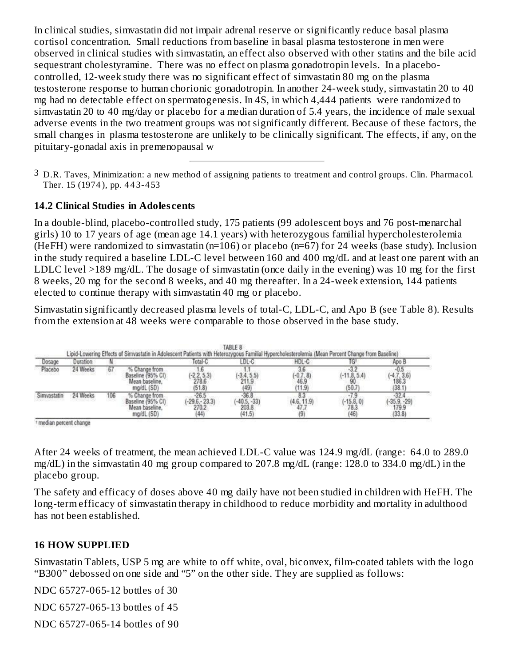In clinical studies, simvastatin did not impair adrenal reserve or significantly reduce basal plasma cortisol concentration. Small reductions from baseline in basal plasma testosterone in men were observed in clinical studies with simvastatin, an effect also observed with other statins and the bile acid sequestrant cholestyramine. There was no effect on plasma gonadotropin levels. In a placebocontrolled, 12-week study there was no significant effect of simvastatin 80 mg on the plasma testosterone response to human chorionic gonadotropin. In another 24-week study, simvastatin 20 to 40 mg had no detectable effect on spermatogenesis. In 4S, in which 4,444 patients were randomized to simvastatin 20 to 40 mg/day or placebo for a median duration of 5.4 years, the incidence of male sexual adverse events in the two treatment groups was not significantly different. Because of these factors, the small changes in plasma testosterone are unlikely to be clinically significant. The effects, if any, on the pituitary-gonadal axis in premenopausal w

 $^3$  D.R. Taves, Minimization: a new method of assigning patients to treatment and control groups. Clin. Pharmacol. Ther. 15 (1974 ), pp. 4 4 3-4 53

#### **14.2 Clinical Studies in Adoles cents**

In a double-blind, placebo-controlled study, 175 patients (99 adolescent boys and 76 post-menarchal girls) 10 to 17 years of age (mean age 14.1 years) with heterozygous familial hypercholesterolemia (HeFH) were randomized to simvastatin (n=106) or placebo (n=67) for 24 weeks (base study). Inclusion in the study required a baseline LDL-C level between 160 and 400 mg/dL and at least one parent with an LDLC level >189 mg/dL. The dosage of simvastatin (once daily in the evening) was 10 mg for the first 8 weeks, 20 mg for the second 8 weeks, and 40 mg thereafter. In a 24-week extension, 144 patients elected to continue therapy with simvastatin 40 mg or placebo.

Simvastatin significantly decreased plasma levels of total-C, LDL-C, and Apo B (see Table 8). Results from the extension at 48 weeks were comparable to those observed in the base study.

|          |     | Lipid-Lowering Effects of Simvastatin in Adolescent Patients with Heterozygous Familial Hypercholesterolemia (Mean Percent Change from Baseline) |        | TABLE 8       |       |  |
|----------|-----|--------------------------------------------------------------------------------------------------------------------------------------------------|--------|---------------|-------|--|
| Juration |     |                                                                                                                                                  |        |               |       |  |
| -4 Week  |     | from<br>ma/dL (SD)                                                                                                                               | (51.8) |               | (50.7 |  |
| -4 Weeks | 106 | ma/dL (SD)                                                                                                                                       |        | 203.8<br>41.5 |       |  |

<sup>1</sup> median percent change

After 24 weeks of treatment, the mean achieved LDL-C value was 124.9 mg/dL (range: 64.0 to 289.0 mg/dL) in the simvastatin 40 mg group compared to 207.8 mg/dL (range: 128.0 to 334.0 mg/dL) in the placebo group.

The safety and efficacy of doses above 40 mg daily have not been studied in children with HeFH. The long-term efficacy of simvastatin therapy in childhood to reduce morbidity and mortality in adulthood has not been established.

#### **16 HOW SUPPLIED**

Simvastatin Tablets, USP 5 mg are white to off white, oval, biconvex, film-coated tablets with the logo "B300" debossed on one side and "5" on the other side. They are supplied as follows:

NDC 65727-065-12 bottles of 30

NDC 65727-065-13 bottles of 45

NDC 65727-065-14 bottles of 90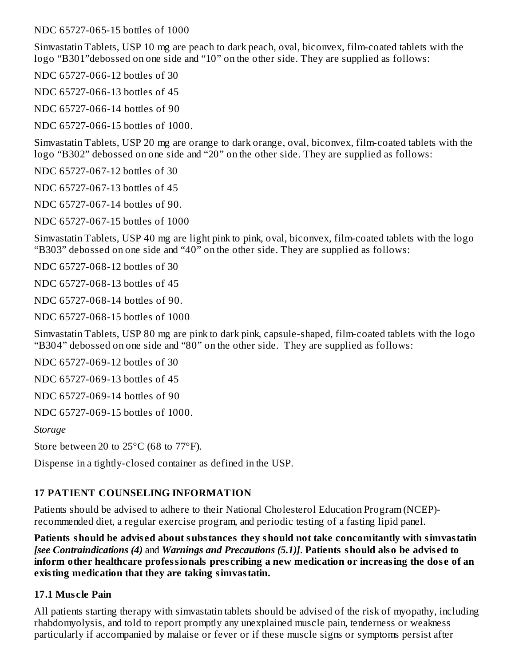NDC 65727-065-15 bottles of 1000

Simvastatin Tablets, USP 10 mg are peach to dark peach, oval, biconvex, film-coated tablets with the logo "B301"debossed on one side and "10" on the other side. They are supplied as follows:

NDC 65727-066-12 bottles of 30

NDC 65727-066-13 bottles of 45

NDC 65727-066-14 bottles of 90

NDC 65727-066-15 bottles of 1000.

Simvastatin Tablets, USP 20 mg are orange to dark orange, oval, biconvex, film-coated tablets with the logo "B302" debossed on one side and "20" on the other side. They are supplied as follows:

NDC 65727-067-12 bottles of 30

NDC 65727-067-13 bottles of 45

NDC 65727-067-14 bottles of 90.

NDC 65727-067-15 bottles of 1000

Simvastatin Tablets, USP 40 mg are light pink to pink, oval, biconvex, film-coated tablets with the logo "B303" debossed on one side and "40" on the other side. They are supplied as follows:

NDC 65727-068-12 bottles of 30

NDC 65727-068-13 bottles of 45

NDC 65727-068-14 bottles of 90.

NDC 65727-068-15 bottles of 1000

Simvastatin Tablets, USP 80 mg are pink to dark pink, capsule-shaped, film-coated tablets with the logo "B304" debossed on one side and "80" on the other side. They are supplied as follows:

NDC 65727-069-12 bottles of 30

NDC 65727-069-13 bottles of 45

NDC 65727-069-14 bottles of 90

NDC 65727-069-15 bottles of 1000.

*Storage*

Store between 20 to 25°C (68 to 77°F).

Dispense in a tightly-closed container as defined in the USP.

#### **17 PATIENT COUNSELING INFORMATION**

Patients should be advised to adhere to their National Cholesterol Education Program (NCEP) recommended diet, a regular exercise program, and periodic testing of a fasting lipid panel.

**Patients should be advis ed about substances they should not take concomitantly with simvastatin** *[see Contraindications (4)* and *Warnings and Precautions (5.1)]*. **Patients should also be advis ed to inform other healthcare professionals pres cribing a new medication or increasing the dos e of an existing medication that they are taking simvastatin.**

#### **17.1 Mus cle Pain**

All patients starting therapy with simvastatin tablets should be advised of the risk of myopathy, including rhabdomyolysis, and told to report promptly any unexplained muscle pain, tenderness or weakness particularly if accompanied by malaise or fever or if these muscle signs or symptoms persist after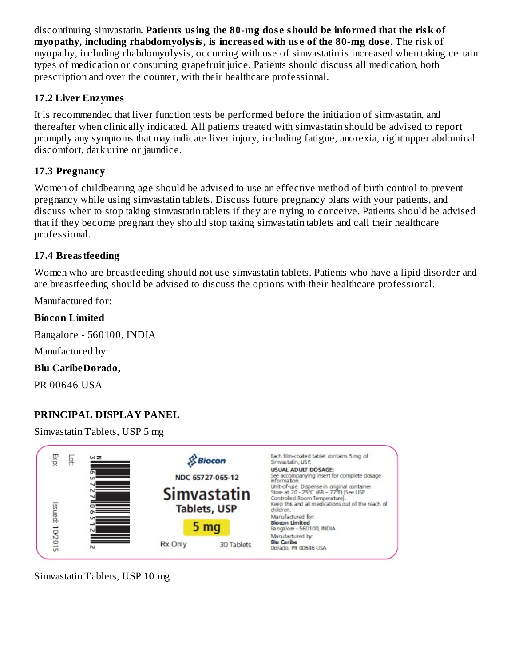discontinuing simvastatin. **Patients using the 80-mg dos e should be informed that the risk of myopathy, including rhabdomyolysis, is increas ed with us e of the 80-mg dos e.** The risk of myopathy, including rhabdomyolysis, occurring with use of simvastatin is increased when taking certain types of medication or consuming grapefruit juice. Patients should discuss all medication, both prescription and over the counter, with their healthcare professional.

### **17.2 Liver Enzymes**

It is recommended that liver function tests be performed before the initiation of simvastatin, and thereafter when clinically indicated. All patients treated with simvastatin should be advised to report promptly any symptoms that may indicate liver injury, including fatigue, anorexia, right upper abdominal discomfort, dark urine or jaundice.

### **17.3 Pregnancy**

Women of childbearing age should be advised to use an effective method of birth control to prevent pregnancy while using simvastatin tablets. Discuss future pregnancy plans with your patients, and discuss when to stop taking simvastatin tablets if they are trying to conceive. Patients should be advised that if they become pregnant they should stop taking simvastatin tablets and call their healthcare professional.

### **17.4 Breastfeeding**

Women who are breastfeeding should not use simvastatin tablets. Patients who have a lipid disorder and are breastfeeding should be advised to discuss the options with their healthcare professional.

Manufactured for:

### **Biocon Limited**

Bangalore - 560100, INDIA

Manufactured by:

### **Blu CaribeDorado,**

PR 00646 USA

### **PRINCIPAL DISPLAY PANEL**

Simvastatin Tablets, USP 5 mg



Simvastatin Tablets, USP 10 mg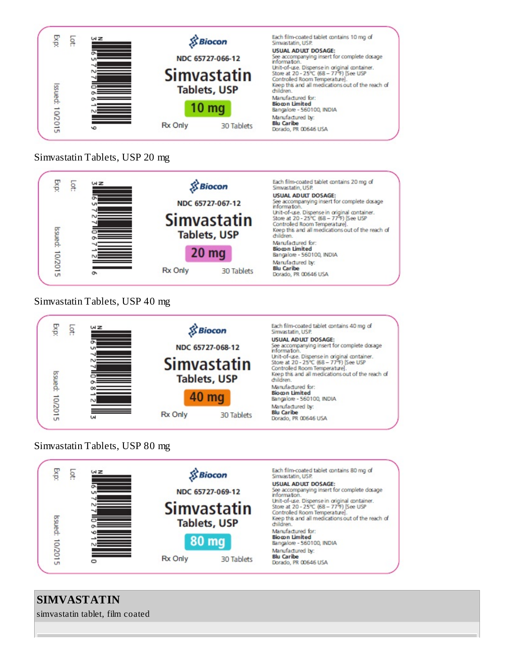

#### Simvastatin Tablets, USP 20 mg



### Simvastatin Tablets, USP 40 mg



### Simvastatin Tablets, USP 80 mg



# **SIMVASTATIN**

simvastatin tablet, film coated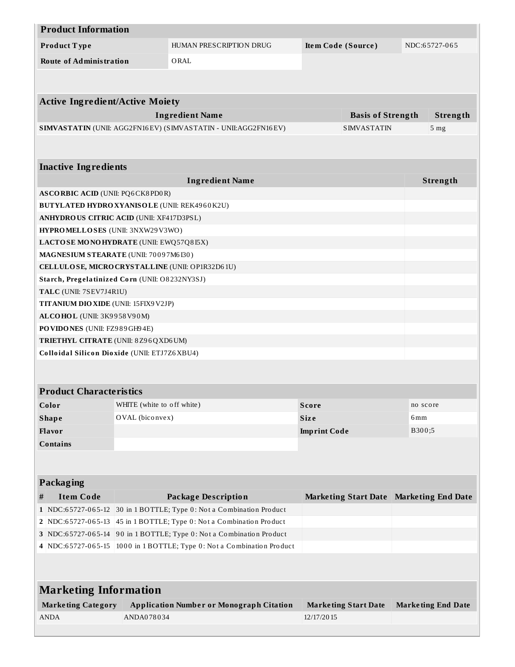| <b>Product Information</b>                                                                             |                            |                                                                        |                                         |                           |
|--------------------------------------------------------------------------------------------------------|----------------------------|------------------------------------------------------------------------|-----------------------------------------|---------------------------|
| Product Type                                                                                           |                            | HUMAN PRESCRIPTION DRUG                                                | Item Code (Source)                      | NDC:65727-065             |
| <b>Route of Administration</b>                                                                         |                            | ORAL                                                                   |                                         |                           |
|                                                                                                        |                            |                                                                        |                                         |                           |
|                                                                                                        |                            |                                                                        |                                         |                           |
| <b>Active Ingredient/Active Moiety</b>                                                                 |                            |                                                                        |                                         |                           |
|                                                                                                        |                            | <b>Ingredient Name</b>                                                 | <b>Basis of Strength</b>                | Strength                  |
|                                                                                                        |                            | SIMVASTATIN (UNII: AGG2FN16EV) (SIMVASTATIN - UNII:AGG2FN16EV)         | <b>SIMVASTATIN</b>                      | 5 <sub>mg</sub>           |
|                                                                                                        |                            |                                                                        |                                         |                           |
|                                                                                                        |                            |                                                                        |                                         |                           |
| <b>Inactive Ingredients</b>                                                                            |                            |                                                                        |                                         |                           |
|                                                                                                        |                            | <b>Ingredient Name</b>                                                 |                                         | Strength                  |
| <b>ASCORBIC ACID (UNII: PQ6CK8PD0R)</b>                                                                |                            |                                                                        |                                         |                           |
| <b>BUTYLATED HYDRO XYANISOLE (UNII: REK4960K2U)</b><br><b>ANHYDROUS CITRIC ACID (UNII: XF417D3PSL)</b> |                            |                                                                        |                                         |                           |
| HYPROMELLOSES (UNII: 3NXW29V3WO)                                                                       |                            |                                                                        |                                         |                           |
| LACTOSE MONOHYDRATE (UNII: EWQ57Q8I5X)                                                                 |                            |                                                                        |                                         |                           |
| MAGNESIUM STEARATE (UNII: 70097M6I30)                                                                  |                            |                                                                        |                                         |                           |
| CELLULOSE, MICRO CRYSTALLINE (UNII: OP1R32D61U)                                                        |                            |                                                                        |                                         |                           |
| Starch, Pregelatinized Corn (UNII: O8232NY3SJ)                                                         |                            |                                                                        |                                         |                           |
| TALC (UNII: 7SEV7J4R1U)                                                                                |                            |                                                                        |                                         |                           |
| <b>TITANIUM DIO XIDE (UNII: 15FIX9 V2JP)</b>                                                           |                            |                                                                        |                                         |                           |
| ALCOHOL (UNII: 3K9958V90M)                                                                             |                            |                                                                        |                                         |                           |
| PO VIDONES (UNII: FZ989GH94E)                                                                          |                            |                                                                        |                                         |                           |
| TRIETHYL CITRATE (UNII: 8Z96QXD6UM)                                                                    |                            |                                                                        |                                         |                           |
| Colloidal Silicon Dioxide (UNII: ETJ7Z6XBU4)                                                           |                            |                                                                        |                                         |                           |
|                                                                                                        |                            |                                                                        |                                         |                           |
|                                                                                                        |                            |                                                                        |                                         |                           |
| <b>Product Characteristics</b>                                                                         |                            |                                                                        |                                         |                           |
| Color                                                                                                  | WHITE (white to off white) |                                                                        | <b>Score</b>                            | no score                  |
| <b>Shape</b>                                                                                           | OVAL (biconvex)            |                                                                        | <b>Size</b>                             | 6 <sub>mm</sub>           |
| Flavor                                                                                                 |                            |                                                                        | <b>Imprint Code</b>                     | B300;5                    |
| <b>Contains</b>                                                                                        |                            |                                                                        |                                         |                           |
|                                                                                                        |                            |                                                                        |                                         |                           |
|                                                                                                        |                            |                                                                        |                                         |                           |
| Packaging                                                                                              |                            |                                                                        |                                         |                           |
| <b>Item Code</b><br>#                                                                                  |                            | <b>Package Description</b>                                             | Marketing Start Date Marketing End Date |                           |
|                                                                                                        |                            | 1 NDC:65727-065-12 30 in 1 BOTTLE; Type 0: Not a Combination Product   |                                         |                           |
|                                                                                                        |                            | 2 NDC:65727-065-13 45 in 1 BOTTLE; Type 0: Not a Combination Product   |                                         |                           |
|                                                                                                        |                            | 3 NDC:65727-065-14 90 in 1 BOTTLE; Type 0: Not a Combination Product   |                                         |                           |
|                                                                                                        |                            | 4 NDC:65727-065-15 1000 in 1 BOTTLE; Type 0: Not a Combination Product |                                         |                           |
|                                                                                                        |                            |                                                                        |                                         |                           |
|                                                                                                        |                            |                                                                        |                                         |                           |
| <b>Marketing Information</b>                                                                           |                            |                                                                        |                                         |                           |
| <b>Marketing Category</b>                                                                              |                            | <b>Application Number or Monograph Citation</b>                        | <b>Marketing Start Date</b>             | <b>Marketing End Date</b> |
| <b>ANDA</b>                                                                                            | ANDA078034                 |                                                                        | 12/17/2015                              |                           |
|                                                                                                        |                            |                                                                        |                                         |                           |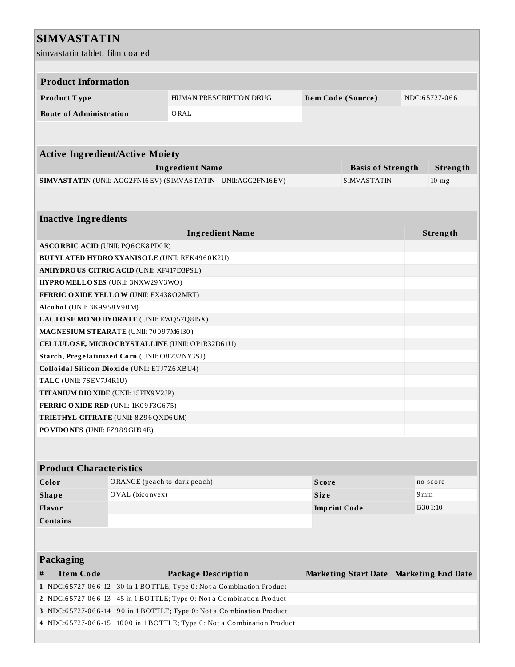### **SIMVASTATIN**

| simvastatin tablet, film coated                                      |                              |                                                                                                        |                                     |                                         |     |          |
|----------------------------------------------------------------------|------------------------------|--------------------------------------------------------------------------------------------------------|-------------------------------------|-----------------------------------------|-----|----------|
|                                                                      |                              |                                                                                                        |                                     |                                         |     |          |
| <b>Product Information</b>                                           |                              |                                                                                                        |                                     |                                         |     |          |
| Product Type                                                         |                              | HUMAN PRESCRIPTION DRUG                                                                                | Item Code (Source)<br>NDC:65727-066 |                                         |     |          |
| <b>Route of Administration</b>                                       |                              | ORAL                                                                                                   |                                     |                                         |     |          |
|                                                                      |                              |                                                                                                        |                                     |                                         |     |          |
|                                                                      |                              |                                                                                                        |                                     |                                         |     |          |
| <b>Active Ingredient/Active Moiety</b>                               |                              |                                                                                                        |                                     |                                         |     |          |
|                                                                      |                              | <b>Ingredient Name</b>                                                                                 |                                     | <b>Basis of Strength</b>                |     | Strength |
|                                                                      |                              | SIMVASTATIN (UNII: AGG2FN16EV) (SIMVASTATIN - UNII:AGG2FN16EV)                                         |                                     | <b>SIMVASTATIN</b>                      |     | $10$ mg  |
|                                                                      |                              |                                                                                                        |                                     |                                         |     |          |
|                                                                      |                              |                                                                                                        |                                     |                                         |     |          |
| <b>Inactive Ingredients</b>                                          |                              |                                                                                                        |                                     |                                         |     |          |
|                                                                      |                              | <b>Ingredient Name</b>                                                                                 |                                     |                                         |     | Strength |
| <b>ASCORBIC ACID (UNII: PQ6CK8PD0R)</b>                              |                              |                                                                                                        |                                     |                                         |     |          |
| <b>BUTYLATED HYDRO XYANISOLE (UNII: REK4960K2U)</b>                  |                              |                                                                                                        |                                     |                                         |     |          |
| <b>ANHYDROUS CITRIC ACID (UNII: XF417D3PSL)</b>                      |                              |                                                                                                        |                                     |                                         |     |          |
| HYPROMELLOSES (UNII: 3NXW29V3WO)                                     |                              |                                                                                                        |                                     |                                         |     |          |
| <b>FERRIC OXIDE YELLOW (UNII: EX438O2MRT)</b>                        |                              |                                                                                                        |                                     |                                         |     |          |
| Alcohol (UNII: 3K9958V90M)<br>LACTOSE MONOHYDRATE (UNII: EWQ57Q8I5X) |                              |                                                                                                        |                                     |                                         |     |          |
| MAGNESIUM STEARATE (UNII: 70097M6I30)                                |                              |                                                                                                        |                                     |                                         |     |          |
| CELLULOSE, MICRO CRYSTALLINE (UNII: OP1R32D61U)                      |                              |                                                                                                        |                                     |                                         |     |          |
| Starch, Pregelatinized Corn (UNII: O8232NY3SJ)                       |                              |                                                                                                        |                                     |                                         |     |          |
| Colloidal Silicon Dioxide (UNII: ETJ7Z6XBU4)                         |                              |                                                                                                        |                                     |                                         |     |          |
| TALC (UNII: 7SEV7J4R1U)                                              |                              |                                                                                                        |                                     |                                         |     |          |
| <b>TITANIUM DIO XIDE</b> (UNII: 15FIX9 V2JP)                         |                              |                                                                                                        |                                     |                                         |     |          |
| FERRIC OXIDE RED (UNII: 1K09F3G675)                                  |                              |                                                                                                        |                                     |                                         |     |          |
| TRIETHYL CITRATE (UNII: 8Z96QXD6UM)                                  |                              |                                                                                                        |                                     |                                         |     |          |
| PO VIDONES (UNII: FZ989GH94E)                                        |                              |                                                                                                        |                                     |                                         |     |          |
|                                                                      |                              |                                                                                                        |                                     |                                         |     |          |
|                                                                      |                              |                                                                                                        |                                     |                                         |     |          |
| <b>Product Characteristics</b>                                       |                              |                                                                                                        |                                     |                                         |     |          |
| Color                                                                | ORANGE (peach to dark peach) |                                                                                                        | <b>Score</b>                        |                                         |     | no score |
| <b>Shape</b>                                                         | OVAL (biconvex)              |                                                                                                        | <b>Size</b>                         |                                         | 9mm |          |
| Flavor                                                               |                              |                                                                                                        | <b>Imprint Code</b>                 |                                         |     | B301;10  |
| <b>Contains</b>                                                      |                              |                                                                                                        |                                     |                                         |     |          |
|                                                                      |                              |                                                                                                        |                                     |                                         |     |          |
|                                                                      |                              |                                                                                                        |                                     |                                         |     |          |
| <b>Packaging</b>                                                     |                              |                                                                                                        |                                     |                                         |     |          |
| <b>Item Code</b><br>#                                                |                              | <b>Package Description</b>                                                                             |                                     | Marketing Start Date Marketing End Date |     |          |
| 1 NDC:65727-066-12<br>NDC:65727-066-13                               |                              | 30 in 1 BOTTLE; Type 0: Not a Combination Product<br>45 in 1 BOTTLE; Type 0: Not a Combination Product |                                     |                                         |     |          |
| 2                                                                    |                              | 3 NDC:65727-066-14 90 in 1 BOTTLE; Type 0: Not a Combination Product                                   |                                     |                                         |     |          |
| 4 NDC:65727-066-15                                                   |                              | 1000 in 1 BOTTLE; Type 0: Not a Combination Product                                                    |                                     |                                         |     |          |
|                                                                      |                              |                                                                                                        |                                     |                                         |     |          |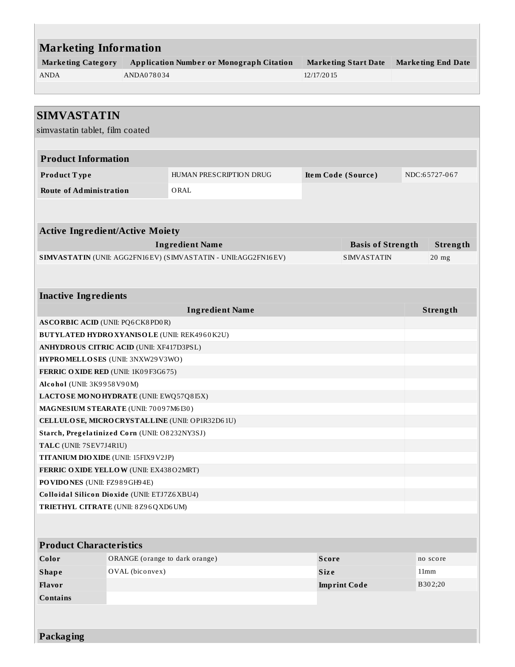| <b>Marketing Information</b>                                                                    |                                |                                                                |                                           |                          |  |                           |
|-------------------------------------------------------------------------------------------------|--------------------------------|----------------------------------------------------------------|-------------------------------------------|--------------------------|--|---------------------------|
| <b>Marketing Category</b>                                                                       |                                | <b>Application Number or Monograph Citation</b>                |                                           |                          |  | <b>Marketing End Date</b> |
| <b>ANDA</b>                                                                                     | ANDA078034                     |                                                                | <b>Marketing Start Date</b><br>12/17/2015 |                          |  |                           |
|                                                                                                 |                                |                                                                |                                           |                          |  |                           |
|                                                                                                 |                                |                                                                |                                           |                          |  |                           |
| <b>SIMVASTATIN</b>                                                                              |                                |                                                                |                                           |                          |  |                           |
| simvastatin tablet, film coated                                                                 |                                |                                                                |                                           |                          |  |                           |
|                                                                                                 |                                |                                                                |                                           |                          |  |                           |
| <b>Product Information</b>                                                                      |                                |                                                                |                                           |                          |  |                           |
| Product Type                                                                                    |                                | HUMAN PRESCRIPTION DRUG                                        |                                           | Item Code (Source)       |  | NDC:65727-067             |
| <b>Route of Administration</b>                                                                  |                                | ORAL                                                           |                                           |                          |  |                           |
|                                                                                                 |                                |                                                                |                                           |                          |  |                           |
|                                                                                                 |                                |                                                                |                                           |                          |  |                           |
| <b>Active Ingredient/Active Moiety</b>                                                          |                                |                                                                |                                           |                          |  |                           |
|                                                                                                 |                                | <b>Ingredient Name</b>                                         |                                           | <b>Basis of Strength</b> |  | Strength                  |
|                                                                                                 |                                | SIMVASTATIN (UNII: AGG2FN16EV) (SIMVASTATIN - UNII:AGG2FN16EV) |                                           | <b>SIMVASTATIN</b>       |  | $20$ mg                   |
|                                                                                                 |                                |                                                                |                                           |                          |  |                           |
| <b>Inactive Ingredients</b>                                                                     |                                |                                                                |                                           |                          |  |                           |
|                                                                                                 |                                | <b>Ingredient Name</b>                                         |                                           |                          |  | Strength                  |
| <b>ASCORBIC ACID (UNII: PQ6CK8PD0R)</b>                                                         |                                |                                                                |                                           |                          |  |                           |
|                                                                                                 |                                |                                                                |                                           |                          |  |                           |
| <b>BUTYLATED HYDRO XYANISOLE (UNII: REK4960K2U)</b><br>ANHYDROUS CITRIC ACID (UNII: XF417D3PSL) |                                |                                                                |                                           |                          |  |                           |
| HYPROMELLOSES (UNII: 3NXW29V3WO)                                                                |                                |                                                                |                                           |                          |  |                           |
| FERRIC OXIDE RED (UNII: 1K09F3G675)                                                             |                                |                                                                |                                           |                          |  |                           |
| Alcohol (UNII: 3K9958V90M)                                                                      |                                |                                                                |                                           |                          |  |                           |
| LACTOSE MONOHYDRATE (UNII: EWQ57Q815X)                                                          |                                |                                                                |                                           |                          |  |                           |
| MAGNESIUM STEARATE (UNII: 70097M6I30)                                                           |                                |                                                                |                                           |                          |  |                           |
|                                                                                                 |                                | CELLULOSE, MICRO CRYSTALLINE (UNII: OP1R32D61U)                |                                           |                          |  |                           |
| Starch, Pregelatinized Corn (UNII: O8232NY3SJ)                                                  |                                |                                                                |                                           |                          |  |                           |
| TALC (UNII: 7SEV7J4R1U)                                                                         |                                |                                                                |                                           |                          |  |                           |
| TITANIUM DIO XIDE (UNII: 15FIX9 V2JP)                                                           |                                |                                                                |                                           |                          |  |                           |
| FERRIC OXIDE YELLOW (UNII: EX438O2MRT)                                                          |                                |                                                                |                                           |                          |  |                           |
| PO VIDONES (UNII: FZ989GH94E)                                                                   |                                |                                                                |                                           |                          |  |                           |
| Colloidal Silicon Dioxide (UNII: ETJ7Z6XBU4)                                                    |                                |                                                                |                                           |                          |  |                           |
| TRIETHYL CITRATE (UNII: 8Z96QXD6UM)                                                             |                                |                                                                |                                           |                          |  |                           |
|                                                                                                 |                                |                                                                |                                           |                          |  |                           |
| <b>Product Characteristics</b>                                                                  |                                |                                                                |                                           |                          |  |                           |
| Color                                                                                           | ORANGE (orange to dark orange) |                                                                | <b>Score</b>                              |                          |  | no score                  |
| <b>Shape</b>                                                                                    | OVAL (biconvex)                |                                                                | Size                                      |                          |  | 11mm                      |
| Flavor                                                                                          |                                |                                                                |                                           | <b>Imprint Code</b>      |  | B302;20                   |
| <b>Contains</b>                                                                                 |                                |                                                                |                                           |                          |  |                           |
|                                                                                                 |                                |                                                                |                                           |                          |  |                           |
|                                                                                                 |                                |                                                                |                                           |                          |  |                           |

**Packaging**

L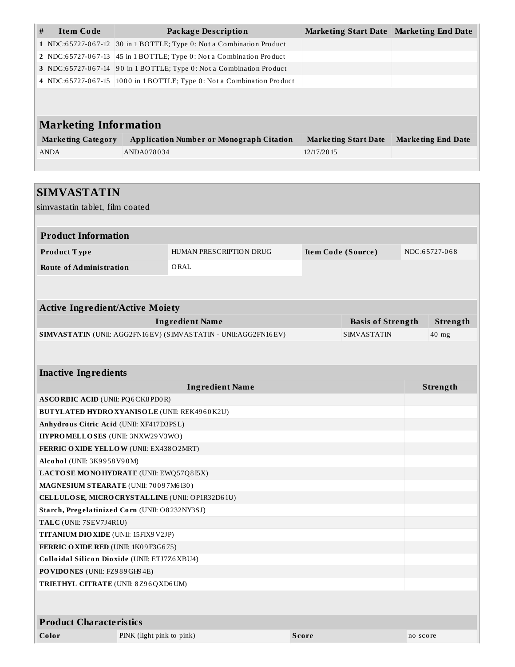| # | <b>Item Code</b>             | Package Description                                                    | Marketing Start Date Marketing End Date |                           |  |  |  |  |  |
|---|------------------------------|------------------------------------------------------------------------|-----------------------------------------|---------------------------|--|--|--|--|--|
|   |                              | 1 NDC:65727-067-12 30 in 1 BOTTLE; Type 0: Not a Combination Product   |                                         |                           |  |  |  |  |  |
|   |                              | 2 NDC:65727-067-13 45 in 1 BOTTLE; Type 0: Not a Combination Product   |                                         |                           |  |  |  |  |  |
|   |                              | 3 NDC:65727-067-14 90 in 1 BOTTLE; Type 0: Not a Combination Product   |                                         |                           |  |  |  |  |  |
|   |                              | 4 NDC:65727-067-15 1000 in 1 BOTTLE; Type 0: Not a Combination Product |                                         |                           |  |  |  |  |  |
|   |                              |                                                                        |                                         |                           |  |  |  |  |  |
|   | <b>Marketing Information</b> |                                                                        |                                         |                           |  |  |  |  |  |
|   | <b>Marketing Category</b>    | <b>Application Number or Monograph Citation</b>                        | <b>Marketing Start Date</b>             | <b>Marketing End Date</b> |  |  |  |  |  |
|   | <b>ANDA</b>                  | ANDA078034                                                             | 12/17/2015                              |                           |  |  |  |  |  |
|   |                              |                                                                        |                                         |                           |  |  |  |  |  |
|   |                              |                                                                        |                                         |                           |  |  |  |  |  |
|   |                              |                                                                        |                                         |                           |  |  |  |  |  |

| <b>SIMVASTATIN</b>                              |                                                     |                                                                |  |              |                          |          |               |
|-------------------------------------------------|-----------------------------------------------------|----------------------------------------------------------------|--|--------------|--------------------------|----------|---------------|
| simvastatin tablet, film coated                 |                                                     |                                                                |  |              |                          |          |               |
|                                                 |                                                     |                                                                |  |              |                          |          |               |
| <b>Product Information</b>                      |                                                     |                                                                |  |              |                          |          |               |
| Product Type                                    |                                                     | HUMAN PRESCRIPTION DRUG                                        |  |              | Item Code (Source)       |          | NDC:65727-068 |
| <b>Route of Administration</b>                  |                                                     | ORAL                                                           |  |              |                          |          |               |
|                                                 |                                                     |                                                                |  |              |                          |          |               |
| <b>Active Ingredient/Active Moiety</b>          |                                                     |                                                                |  |              |                          |          |               |
|                                                 |                                                     | <b>Ingredient Name</b>                                         |  |              | <b>Basis of Strength</b> |          | Strength      |
|                                                 |                                                     | SIMVASTATIN (UNII: AGG2FN16EV) (SIMVASTATIN - UNII:AGG2FN16EV) |  |              | <b>SIMVASTATIN</b>       |          | $40$ mg       |
|                                                 |                                                     |                                                                |  |              |                          |          |               |
|                                                 |                                                     |                                                                |  |              |                          |          |               |
| <b>Inactive Ingredients</b>                     |                                                     |                                                                |  |              |                          |          |               |
|                                                 |                                                     | <b>Ingredient Name</b>                                         |  |              |                          |          | Strength      |
| <b>ASCORBIC ACID (UNII: PQ6CK8PD0R)</b>         |                                                     |                                                                |  |              |                          |          |               |
|                                                 | <b>BUTYLATED HYDRO XYANISOLE (UNII: REK4960K2U)</b> |                                                                |  |              |                          |          |               |
| Anhydrous Citric Acid (UNII: XF417D3PSL)        |                                                     |                                                                |  |              |                          |          |               |
| HYPROMELLOSES (UNII: 3NXW29V3WO)                |                                                     |                                                                |  |              |                          |          |               |
| FERRIC OXIDE YELLOW (UNII: EX438O2MRT)          |                                                     |                                                                |  |              |                          |          |               |
| Alcohol (UNII: 3K9958V90M)                      |                                                     |                                                                |  |              |                          |          |               |
| LACTOSE MONOHYDRATE (UNII: EWQ57Q8I5X)          |                                                     |                                                                |  |              |                          |          |               |
|                                                 | MAGNESIUM STEARATE (UNII: 70097M6I30)               |                                                                |  |              |                          |          |               |
| CELLULOSE, MICRO CRYSTALLINE (UNII: OP1R32D61U) |                                                     |                                                                |  |              |                          |          |               |
| Starch, Pregelatinized Corn (UNII: O8232NY3SJ)  |                                                     |                                                                |  |              |                          |          |               |
| TALC (UNII: 7SEV7J4R1U)                         |                                                     |                                                                |  |              |                          |          |               |
| <b>TITANIUM DIO XIDE (UNII: 15FIX9 V2JP)</b>    |                                                     |                                                                |  |              |                          |          |               |
| FERRIC OXIDE RED (UNII: 1K09F3G675)             |                                                     |                                                                |  |              |                          |          |               |
| Colloidal Silicon Dioxide (UNII: ETJ7Z6XBU4)    |                                                     |                                                                |  |              |                          |          |               |
|                                                 | PO VIDONES (UNII: FZ989GH94E)                       |                                                                |  |              |                          |          |               |
| TRIETHYL CITRATE (UNII: 8Z96QXD6UM)             |                                                     |                                                                |  |              |                          |          |               |
|                                                 |                                                     |                                                                |  |              |                          |          |               |
| <b>Product Characteristics</b>                  |                                                     |                                                                |  |              |                          |          |               |
| Color                                           | PINK (light pink to pink)                           |                                                                |  | <b>Score</b> |                          | no score |               |
|                                                 |                                                     |                                                                |  |              |                          |          |               |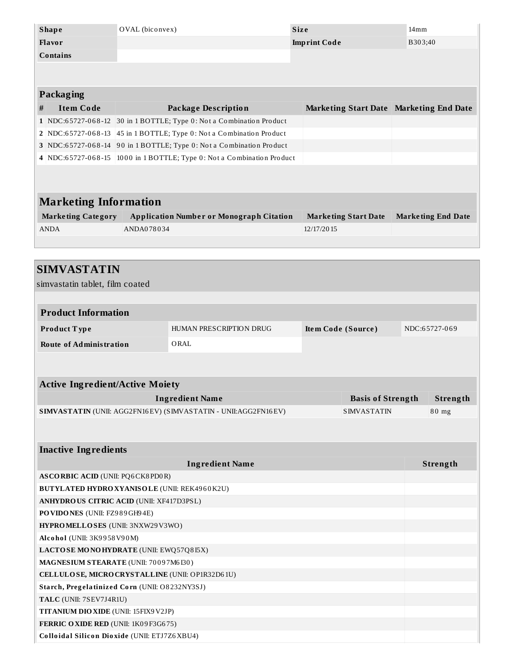| <b>Shape</b>    | OVAL (biconvex) | <b>Size</b>         | 14mm    |
|-----------------|-----------------|---------------------|---------|
| Flavor          |                 | <b>Imprint Code</b> | B303;40 |
| <b>Contains</b> |                 |                     |         |
|                 |                 |                     |         |

|   | Packaging                    |                                                                        |                                         |                           |  |  |  |  |
|---|------------------------------|------------------------------------------------------------------------|-----------------------------------------|---------------------------|--|--|--|--|
| # | <b>Item Code</b>             | <b>Package Description</b>                                             | Marketing Start Date Marketing End Date |                           |  |  |  |  |
|   |                              | 1 NDC:65727-068-12 30 in 1 BOTTLE; Type 0: Not a Combination Product   |                                         |                           |  |  |  |  |
|   | 2 NDC:65727-068-13           | 45 in 1 BOTTLE; Type 0: Not a Combination Product                      |                                         |                           |  |  |  |  |
|   |                              | 3 NDC:65727-068-14 90 in 1 BOTTLE; Type 0: Not a Combination Product   |                                         |                           |  |  |  |  |
|   |                              | 4 NDC:65727-068-15 1000 in 1 BOTTLE; Type 0: Not a Combination Product |                                         |                           |  |  |  |  |
|   |                              |                                                                        |                                         |                           |  |  |  |  |
|   |                              |                                                                        |                                         |                           |  |  |  |  |
|   | <b>Marketing Information</b> |                                                                        |                                         |                           |  |  |  |  |
|   | <b>Marketing Category</b>    | <b>Application Number or Monograph Citation</b>                        | <b>Marketing Start Date</b>             | <b>Marketing End Date</b> |  |  |  |  |
|   | <b>ANDA</b>                  | ANDA078034                                                             | 12/17/2015                              |                           |  |  |  |  |
|   |                              |                                                                        |                                         |                           |  |  |  |  |

| <b>SIMVASTATIN</b>                                              |                         |                                     |                          |  |          |  |
|-----------------------------------------------------------------|-------------------------|-------------------------------------|--------------------------|--|----------|--|
| simvastatin tablet, film coated                                 |                         |                                     |                          |  |          |  |
|                                                                 |                         |                                     |                          |  |          |  |
| <b>Product Information</b>                                      |                         |                                     |                          |  |          |  |
| Product Type                                                    | HUMAN PRESCRIPTION DRUG | Item Code (Source)<br>NDC:65727-069 |                          |  |          |  |
| <b>Route of Administration</b>                                  | ORAL                    |                                     |                          |  |          |  |
|                                                                 |                         |                                     |                          |  |          |  |
| <b>Active Ingredient/Active Moiety</b>                          |                         |                                     |                          |  |          |  |
|                                                                 | <b>Ingredient Name</b>  |                                     | <b>Basis of Strength</b> |  | Strength |  |
| SIMVASTATIN (UNII: AGG2FN16EV) (SIMVASTATIN - UNII: AGG2FN16EV) |                         |                                     | <b>SIMVASTATIN</b>       |  | 80 mg    |  |
|                                                                 |                         |                                     |                          |  |          |  |
|                                                                 |                         |                                     |                          |  |          |  |
| <b>Inactive Ingredients</b>                                     |                         |                                     |                          |  |          |  |
|                                                                 | <b>Ingredient Name</b>  |                                     |                          |  | Strength |  |
| <b>ASCORBIC ACID (UNII: PQ6CK8PD0R)</b>                         |                         |                                     |                          |  |          |  |
| BUTYLATED HYDRO XYANISOLE (UNII: REK4960K2U)                    |                         |                                     |                          |  |          |  |
| <b>ANHYDROUS CITRIC ACID (UNII: XF417D3PSL)</b>                 |                         |                                     |                          |  |          |  |
| PO VIDONES (UNII: FZ989GH94E)                                   |                         |                                     |                          |  |          |  |
| HYPROMELLOSES (UNII: 3NXW29V3WO)                                |                         |                                     |                          |  |          |  |
| Alcohol (UNII: 3K9958V90M)                                      |                         |                                     |                          |  |          |  |
| LACTOSE MONOHYDRATE (UNII: EWQ57Q8I5X)                          |                         |                                     |                          |  |          |  |
| MAGNESIUM STEARATE (UNII: 70097M6I30)                           |                         |                                     |                          |  |          |  |
| CELLULOSE, MICRO CRYSTALLINE (UNII: OP1R32D61U)                 |                         |                                     |                          |  |          |  |
| Starch, Pregelatinized Corn (UNII: O8232NY3SJ)                  |                         |                                     |                          |  |          |  |
| TALC (UNII: 7SEV7J4R1U)                                         |                         |                                     |                          |  |          |  |
| TITANIUM DIO XIDE (UNII: 15FIX9V2JP)                            |                         |                                     |                          |  |          |  |
| FERRIC OXIDE RED (UNII: 1K09F3G675)                             |                         |                                     |                          |  |          |  |
| Colloidal Silicon Dioxide (UNII: ETJ7Z6XBU4)                    |                         |                                     |                          |  |          |  |